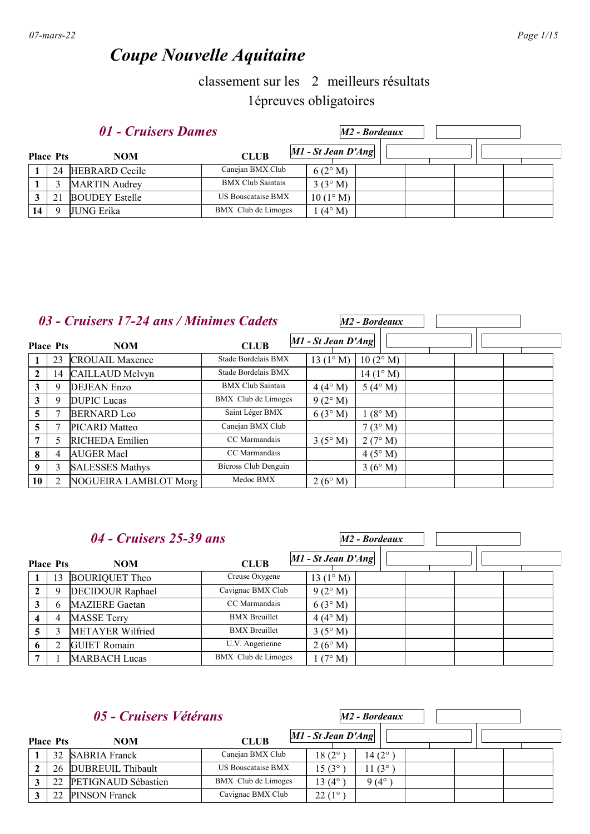# *Coupe Nouvelle Aquitaine*

## classement sur les 2 meilleurs résultats 1épreuves obligatoires

|                  | 01 - Cruisers Dames   | M2 - Bordeaux            |                      |  |  |
|------------------|-----------------------|--------------------------|----------------------|--|--|
| <b>Place Pts</b> | <b>NOM</b>            | <b>CLUB</b>              | $M1$ - St Jean D'Ang |  |  |
| 24               | <b>HEBRARD</b> Cecile | Canejan BMX Club         | 6(2°M)               |  |  |
|                  | <b>MARTIN</b> Audrey  | <b>BMX Club Saintais</b> | 3(3° M)              |  |  |
| 21               | <b>BOUDEY Estelle</b> | US Bouscataise BMX       | $10(1^{\circ} M)$    |  |  |
| Q                | <b>JUNG Erika</b>     | BMX Club de Limoges      | $(4^{\circ} M)$      |  |  |

### *03 - Cruisers 17-24 ans / Minimes Cadets*

| <b>Place Pts</b> |                | <b>NOM</b>             | <b>CLUB</b>              | $M1$ - St Jean $D'Ang$ |                    |  |  |
|------------------|----------------|------------------------|--------------------------|------------------------|--------------------|--|--|
|                  | 23             | <b>CROUAIL Maxence</b> | Stade Bordelais BMX      | 13 $(1^{\circ} M)$     | $10(2^{\circ} M)$  |  |  |
| $\overline{2}$   | 14             | CAILLAUD Melvyn        | Stade Bordelais BMX      |                        | $14(1^{\circ} M)$  |  |  |
| 3                | 9              | <b>DEJEAN</b> Enzo     | <b>BMX Club Saintais</b> | $4(4^{\circ} M)$       | 5 (4 $^{\circ}$ M) |  |  |
| 3                | 9              | <b>DUPIC</b> Lucas     | BMX Club de Limoges      | 9(2° M)                |                    |  |  |
| 5                |                | <b>BERNARD</b> Leo     | Saint Léger BMX          | 6(3°M)                 | $1(8^\circ M)$     |  |  |
| 5                |                | <b>PICARD</b> Matteo   | Canejan BMX Club         |                        | $7(3^\circ M)$     |  |  |
| 7                | 5              | RICHEDA Emilien        | CC Marmandais            | $3(5^\circ M)$         | 2(7° M)            |  |  |
| 8                | 4              | <b>AUGER Mael</b>      | CC Marmandais            |                        | $4(5^\circ M)$     |  |  |
| 9                | 3              | <b>SALESSES Mathys</b> | Bicross Club Denguin     |                        | $3(6^{\circ} M)$   |  |  |
| 10               | $\mathfrak{D}$ | NOGUEIRA LAMBLOT Morg  | Medoc BMX                | $2(6^{\circ} M)$       |                    |  |  |

*M2 - Bordeaux*

*M2 - Bordeaux*

### *04 - Cruisers 25-39 ans*

| <b>Place Pts</b> |    | <b>NOM</b>              | <b>CLUB</b>          | $MI - St Jean D'Ang$ |
|------------------|----|-------------------------|----------------------|----------------------|
|                  | 13 | <b>BOURIQUET Theo</b>   | Creuse Oxygene       | 13 $(1^{\circ} M)$   |
|                  | 9  | <b>DECIDOUR Raphael</b> | Cavignac BMX Club    | 9(2°M)               |
|                  | 6  | <b>MAZIERE</b> Gaetan   | CC Marmandais        | 6(3°M)               |
|                  | 4  | <b>MASSE Terry</b>      | <b>BMX</b> Breuillet | $4(4^{\circ} M)$     |
|                  |    | <b>METAYER Wilfried</b> | <b>BMX</b> Breuillet | $3(5^{\circ}M)$      |
|                  |    | <b>GUIET</b> Romain     | U.V. Angerienne      | $2(6^{\circ} M)$     |
|                  |    | <b>MARBACH Lucas</b>    | BMX Club de Limoges  | $1(7^{\circ} M)$     |

#### **Place** *05 - Cruisers Vétérans* **Physical Property CLUB** *M1 - St Jean D'Ang M2 - Bordeaux* **NOM CLUB 1** 32 SABRIA Franck Canejan BMX Club 18 (2°) 14 (2°) **2** 26 DUBREUIL Thibault US Bouscataise BMX  $15(3^{\circ})$  11 (3°) **3** 22 PETIGNAUD Sébastien BMX Club de Limoges 13 (4°) 9 (4°) **3** 22 PINSON Franck Cavignac BMX Club 22 (1°)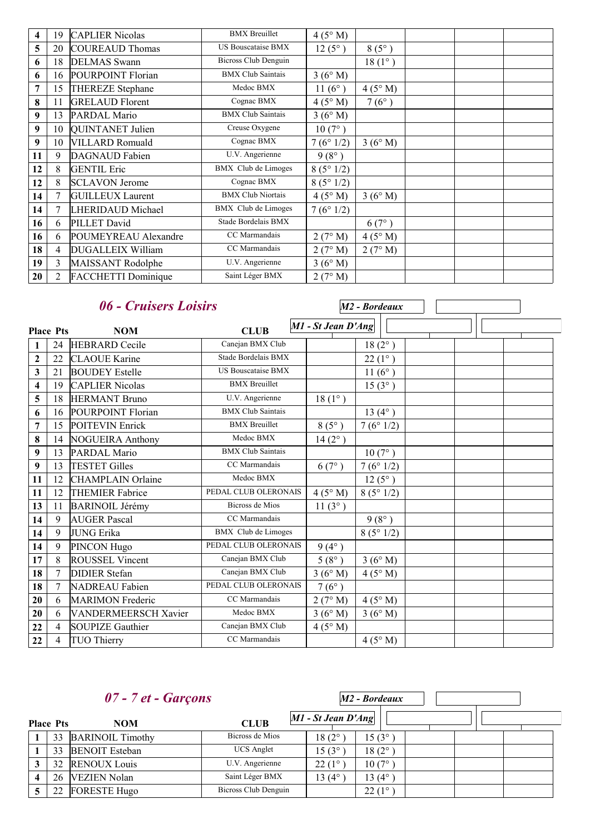| 4  | 19             | <b>CAPLIER Nicolas</b>     | <b>BMX</b> Breuillet        | 4(5° M)         |                 |  |  |
|----|----------------|----------------------------|-----------------------------|-----------------|-----------------|--|--|
| 5  | 20             | <b>COUREAUD Thomas</b>     | <b>US Bouscataise BMX</b>   | $12(5^{\circ})$ | $8(5^{\circ})$  |  |  |
| 6  | 18             | <b>DELMAS</b> Swann        | <b>Bicross Club Denguin</b> |                 | $18(1^{\circ})$ |  |  |
| 6  | 16             | POURPOINT Florian          | <b>BMX Club Saintais</b>    | 3(6°M)          |                 |  |  |
| 7  | 15             | THEREZE Stephane           | Medoc BMX                   | $11(6^{\circ})$ | 4(5° M)         |  |  |
| 8  | 11             | <b>GRELAUD Florent</b>     | Cognac BMX                  | 4(5° M)         | $7(6^{\circ})$  |  |  |
| 9  | 13             | PARDAL Mario               | <b>BMX Club Saintais</b>    | 3(6° M)         |                 |  |  |
| 9  | 10             | QUINTANET Julien           | Creuse Oxygene              | $10(7^{\circ})$ |                 |  |  |
| 9  | 10             | <b>VILLARD Romuald</b>     | Cognac BMX                  | 7(6°1/2)        | 3(6° M)         |  |  |
| 11 | 9              | <b>DAGNAUD</b> Fabien      | U.V. Angerienne             | $9(8^{\circ})$  |                 |  |  |
| 12 | 8              | <b>GENTIL Eric</b>         | <b>BMX</b> Club de Limoges  | 8(5°1/2)        |                 |  |  |
| 12 | 8              | <b>SCLAVON Jerome</b>      | Cognac BMX                  | 8(5°1/2)        |                 |  |  |
| 14 | 7              | <b>GUILLEUX Laurent</b>    | <b>BMX Club Niortais</b>    | 4(5° M)         | 3(6° M)         |  |  |
| 14 | $\overline{7}$ | LHERIDAUD Michael          | <b>BMX</b> Club de Limoges  | 7(6°1/2)        |                 |  |  |
| 16 | 6              | PILLET David               | Stade Bordelais BMX         |                 | $6(7^{\circ})$  |  |  |
| 16 | 6              | POUMEYREAU Alexandre       | CC Marmandais               | 2(7° M)         | 4(5° M)         |  |  |
| 18 | $\overline{4}$ | DUGALLEIX William          | CC Marmandais               | 2(7° M)         | 2(7° M)         |  |  |
| 19 | 3              | MAISSANT Rodolphe          | U.V. Angerienne             | 3(6° M)         |                 |  |  |
| 20 | 2              | <b>FACCHETTI Dominique</b> | Saint Léger BMX             | 2(7° M)         |                 |  |  |

|                         |                | 06 - Cruisers Loisirs       |                            |                    | M2 - Bordeaux    |  |  |  |
|-------------------------|----------------|-----------------------------|----------------------------|--------------------|------------------|--|--|--|
| <b>Place Pts</b>        |                | <b>NOM</b>                  | <b>CLUB</b>                | M1 - St Jean D'Ang |                  |  |  |  |
| 1                       | 24             | <b>HEBRARD</b> Cecile       | Canejan BMX Club           |                    | $18(2^{\circ})$  |  |  |  |
| $\boldsymbol{2}$        | 22             | <b>CLAOUE</b> Karine        | Stade Bordelais BMX        |                    | $22(1^{\circ})$  |  |  |  |
| $\mathbf{3}$            | 21             | <b>BOUDEY</b> Estelle       | <b>US Bouscataise BMX</b>  |                    | 11 $(6^{\circ})$ |  |  |  |
| $\overline{\mathbf{4}}$ | 19             | <b>CAPLIER Nicolas</b>      | <b>BMX</b> Breuillet       |                    | $15(3^{\circ})$  |  |  |  |
| 5                       | 18             | <b>HERMANT Bruno</b>        | U.V. Angerienne            | $18(1^{\circ})$    |                  |  |  |  |
| 6                       | 16             | POURPOINT Florian           | <b>BMX Club Saintais</b>   |                    | 13 $(4^{\circ})$ |  |  |  |
| 7                       | 15             | <b>POITEVIN Enrick</b>      | <b>BMX</b> Breuillet       | $8(5^{\circ})$     | 7(6°1/2)         |  |  |  |
| 8                       | 14             | <b>NOGUEIRA Anthony</b>     | Medoc BMX                  | $14(2^{\circ})$    |                  |  |  |  |
| 9                       | 13             | PARDAL Mario                | <b>BMX Club Saintais</b>   |                    | $10(7^{\circ})$  |  |  |  |
| 9                       | 13             | <b>TESTET Gilles</b>        | CC Marmandais              | 6(7°)              | 7(6°1/2)         |  |  |  |
| 11                      | 12             | <b>CHAMPLAIN</b> Orlaine    | Medoc BMX                  |                    | $12(5^{\circ})$  |  |  |  |
| 11                      | 12             | <b>THEMIER Fabrice</b>      | PEDAL CLUB OLERONAIS       | 4(5° M)            | 8(5°1/2)         |  |  |  |
| 13                      | 11             | <b>BARINOIL Jérémy</b>      | Bicross de Mios            | $11(3^{\circ})$    |                  |  |  |  |
| 14                      | 9              | <b>AUGER Pascal</b>         | CC Marmandais              |                    | $9(8^{\circ})$   |  |  |  |
| 14                      | 9              | <b>JUNG Erika</b>           | <b>BMX</b> Club de Limoges |                    | 8(5°1/2)         |  |  |  |
| 14                      | 9              | PINCON Hugo                 | PEDAL CLUB OLERONAIS       | $9(4^{\circ})$     |                  |  |  |  |
| 17                      | 8              | ROUSSEL Vincent             | Canejan BMX Club           | $5(8^{\circ})$     | 3(6°M)           |  |  |  |
| 18                      | 7              | <b>DIDIER</b> Stefan        | Canejan BMX Club           | 3(6°M)             | $4(5^\circ M)$   |  |  |  |
| 18                      | 7              | <b>NADREAU Fabien</b>       | PEDAL CLUB OLERONAIS       | $7(6^{\circ})$     |                  |  |  |  |
| 20                      | 6              | <b>MARIMON</b> Frederic     | CC Marmandais              | 2(7° M)            | $4(5^\circ M)$   |  |  |  |
| 20                      | 6              | <b>VANDERMEERSCH Xavier</b> | Medoc BMX                  | 3(6° M)            | 3(6°M)           |  |  |  |
| 22                      | $\overline{4}$ | SOUPIZE Gauthier            | Canejan BMX Club           | 4(5° M)            |                  |  |  |  |
| 22                      | 4              | <b>TUO Thierry</b>          | CC Marmandais              |                    | 4(5° M)          |  |  |  |

|                  | $07 - 7$ et - Garçons   |                      |                      | M2 - Bordeaux      |  |  |
|------------------|-------------------------|----------------------|----------------------|--------------------|--|--|
| <b>Place Pts</b> | <b>NOM</b>              | <b>CLUB</b>          | $MI - St Jean D'Ang$ |                    |  |  |
| 33               | <b>BARINOIL Timothy</b> | Bicross de Mios      | $18(2^{\circ})$      | $15(3^{\circ})$    |  |  |
| 33               | <b>BENOIT</b> Esteban   | <b>UCS</b> Anglet    | $15(3^{\circ})$      | $18(2^{\circ}$     |  |  |
| 32               | <b>RENOUX Louis</b>     | U.V. Angerienne      | $22(1^{\circ}$       | $10(7^{\circ})$    |  |  |
| 26               | <b>VEZIEN Nolan</b>     | Saint Léger BMX      | $13(4^{\circ})$      | 13 (4 $^{\circ}$ ) |  |  |
| 22               | <b>FORESTE Hugo</b>     | Bicross Club Denguin |                      | $22(1^{\circ})$    |  |  |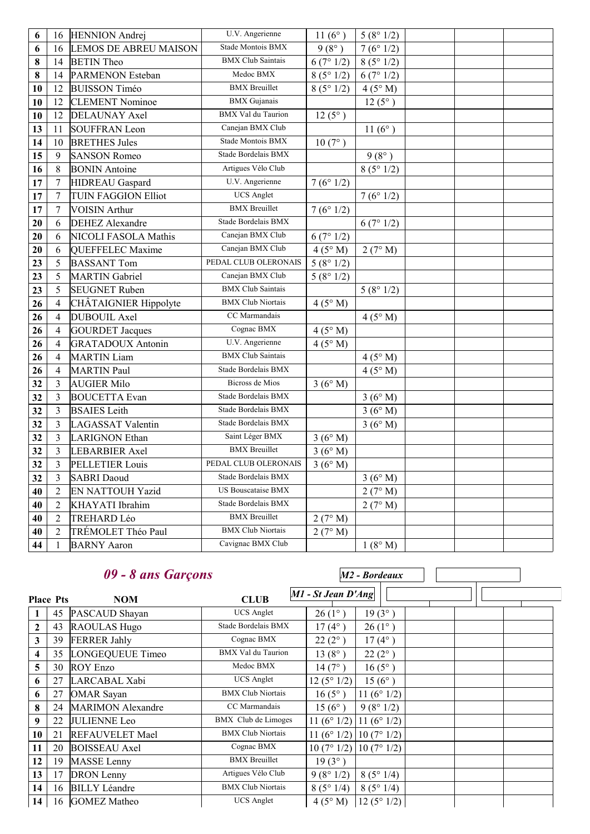| 6  | 16             | <b>HENNION</b> Andrej        | U.V. Angerienne           | 11 $(6^{\circ})$ | 5(8°1/2)         |  |
|----|----------------|------------------------------|---------------------------|------------------|------------------|--|
| 6  | 16             | <b>LEMOS DE ABREU MAISON</b> | Stade Montois BMX         | $9(8^{\circ})$   | 7(6°1/2)         |  |
| 8  | 14             | <b>BETIN</b> Theo            | <b>BMX Club Saintais</b>  | 6(7°1/2)         | 8(5°1/2)         |  |
| 8  | 14             | <b>PARMENON Esteban</b>      | Medoc BMX                 | 8(5°1/2)         | 6(7°1/2)         |  |
| 10 | 12             | <b>BUISSON Timéo</b>         | <b>BMX</b> Breuillet      | 8(5°1/2)         | 4(5° M)          |  |
| 10 | 12             | <b>CLEMENT</b> Nominoe       | <b>BMX</b> Gujanais       |                  | $12(5^{\circ})$  |  |
| 10 | 12             | <b>DELAUNAY Axel</b>         | <b>BMX</b> Val du Taurion | $12(5^{\circ})$  |                  |  |
| 13 | 11             | <b>SOUFFRAN Leon</b>         | Canejan BMX Club          |                  | 11 $(6^{\circ})$ |  |
| 14 | 10             | <b>BRETHES Jules</b>         | Stade Montois BMX         | $10(7^{\circ})$  |                  |  |
| 15 | 9              | <b>SANSON Romeo</b>          | Stade Bordelais BMX       |                  | $9(8^{\circ})$   |  |
| 16 | 8              | <b>BONIN</b> Antoine         | Artigues Vélo Club        |                  | 8(5°1/2)         |  |
| 17 | $\tau$         | HIDREAU Gaspard              | U.V. Angerienne           | 7(6°1/2)         |                  |  |
| 17 | $\tau$         | <b>TUIN FAGGION Elliot</b>   | <b>UCS</b> Anglet         |                  | 7(6°1/2)         |  |
| 17 | $\tau$         | <b>VOISIN</b> Arthur         | <b>BMX</b> Breuillet      | 7(6°1/2)         |                  |  |
| 20 | 6              | <b>DEHEZ</b> Alexandre       | Stade Bordelais BMX       |                  | 6(7°1/2)         |  |
| 20 | 6              | <b>NICOLI FASOLA Mathis</b>  | Canejan BMX Club          | 6(7°1/2)         |                  |  |
| 20 | 6              | <b>QUEFFELEC Maxime</b>      | Canejan BMX Club          | 4(5° M)          | 2(7° M)          |  |
| 23 | 5              | <b>BASSANT Tom</b>           | PEDAL CLUB OLERONAIS      | 5(8°1/2)         |                  |  |
| 23 | 5              | <b>MARTIN</b> Gabriel        | Canejan BMX Club          | 5(8°1/2)         |                  |  |
| 23 | 5              | <b>SEUGNET Ruben</b>         | <b>BMX Club Saintais</b>  |                  | 5(8°1/2)         |  |
| 26 | $\overline{4}$ | CHÂTAIGNIER Hippolyte        | <b>BMX Club Niortais</b>  | 4(5° M)          |                  |  |
| 26 | $\overline{4}$ | <b>DUBOUIL Axel</b>          | CC Marmandais             |                  | 4(5° M)          |  |
| 26 | $\overline{4}$ | <b>GOURDET Jacques</b>       | Cognac BMX                | 4(5° M)          |                  |  |
| 26 | $\overline{4}$ | <b>GRATADOUX Antonin</b>     | U.V. Angerienne           | 4(5° M)          |                  |  |
| 26 | $\overline{4}$ | <b>MARTIN Liam</b>           | <b>BMX</b> Club Saintais  |                  | 4(5° M)          |  |
| 26 | 4              | <b>MARTIN Paul</b>           | Stade Bordelais BMX       |                  | 4(5° M)          |  |
| 32 | $\mathfrak{Z}$ | <b>AUGIER Milo</b>           | <b>Bicross de Mios</b>    | 3(6°M)           |                  |  |
| 32 | $\mathfrak{Z}$ | <b>BOUCETTA Evan</b>         | Stade Bordelais BMX       |                  | 3(6°M)           |  |
| 32 | $\mathfrak{Z}$ | <b>BSAIES</b> Leith          | Stade Bordelais BMX       |                  | 3(6°M)           |  |
| 32 | $\mathfrak{Z}$ | <b>LAGASSAT Valentin</b>     | Stade Bordelais BMX       |                  | 3(6°M)           |  |
| 32 | $\overline{3}$ | <b>LARIGNON Ethan</b>        | Saint Léger BMX           | 3(6° M)          |                  |  |
| 32 | $\mathfrak{Z}$ | <b>LEBARBIER Axel</b>        | <b>BMX</b> Breuillet      | 3(6° M)          |                  |  |
| 32 | $\overline{3}$ | <b>PELLETIER Louis</b>       | PEDAL CLUB OLERONAIS      | 3(6°M)           |                  |  |
| 32 | 3              | <b>SABRI</b> Daoud           | Stade Bordelais BMX       |                  | 3(6°M)           |  |
| 40 | $\overline{2}$ | <b>EN NATTOUH Yazid</b>      | <b>US Bouscataise BMX</b> |                  | 2(7° M)          |  |
| 40 | $\overline{2}$ | KHAYATI Ibrahim              | Stade Bordelais BMX       |                  | 2(7° M)          |  |
| 40 | $\overline{2}$ | TREHARD Léo                  | <b>BMX</b> Breuillet      | 2(7° M)          |                  |  |
| 40 | $\overline{2}$ | TRÉMOLET Théo Paul           | <b>BMX Club Niortais</b>  | 2(7° M)          |                  |  |
| 44 | 1              | <b>BARNY</b> Aaron           | Cavignac BMX Club         |                  | 1(8° M)          |  |

|                         |    | 09 - 8 ans Garçons       |                           | M2 - Bordeaux                                 |  |
|-------------------------|----|--------------------------|---------------------------|-----------------------------------------------|--|
| <b>Place Pts</b>        |    | <b>NOM</b>               | <b>CLUB</b>               | M1 - St Jean D'Ang                            |  |
|                         | 45 | PASCAUD Shayan           | <b>UCS</b> Anglet         | 19(3°)<br>$26(1^{\circ})$                     |  |
| 2                       | 43 | RAOULAS Hugo             | Stade Bordelais BMX       | $17(4^{\circ})$<br>$26(1^{\circ})$            |  |
| 3                       | 39 | <b>FERRER Jahly</b>      | Cognac BMX                | $22(2^{\circ})$<br>$17(4^{\circ})$            |  |
| $\overline{\mathbf{4}}$ | 35 | LONGEQUEUE Timeo         | <b>BMX</b> Val du Taurion | $13(8^{\circ})$<br>$22(2^{\circ})$            |  |
| 5                       | 30 | <b>ROY Enzo</b>          | Medoc BMX                 | $14(7^{\circ})$<br>$16(5^{\circ})$            |  |
| 6                       | 27 | LARCABAL Xabi            | <b>UCS</b> Anglet         | 12(5°1/2)<br>$15(6^{\circ})$                  |  |
| 6                       | 27 | <b>OMAR</b> Sayan        | <b>BMX Club Niortais</b>  | 11 $(6° 1/2)$<br>$16(5^{\circ})$              |  |
| 8                       | 24 | <b>MARIMON</b> Alexandre | CC Marmandais             | 9(8°1/2)<br>$15(6^{\circ})$                   |  |
| 9                       | 22 | <b>JULIENNE Leo</b>      | BMX Club de Limoges       | 11 (6 $\degree$ 1/2)<br>11 ( $6^{\circ}$ 1/2) |  |
| 10                      | 21 | <b>REFAUVELET Mael</b>   | <b>BMX Club Niortais</b>  | 11 (6 $^{\circ}$ 1/2)<br>10(7°1/2)            |  |
| 11                      | 20 | <b>BOISSEAU</b> Axel     | Cognac BMX                | 10(7°1/2)<br>10(7°1/2)                        |  |
| 12                      | 19 | <b>MASSE</b> Lenny       | <b>BMX</b> Breuillet      | $19(3^{\circ})$                               |  |
| 13                      | 17 | <b>DRON</b> Lenny        | Artigues Vélo Club        | 9(8°1/2)<br>8(5°1/4)                          |  |
| 14                      | 16 | <b>BILLY Léandre</b>     | <b>BMX Club Niortais</b>  | 8(5°1/4)<br>8(5°1/4)                          |  |
| 14                      |    | 16 GOMEZ Matheo          | <b>UCS</b> Anglet         | $4(5^\circ M)$<br>12(5°1/2)                   |  |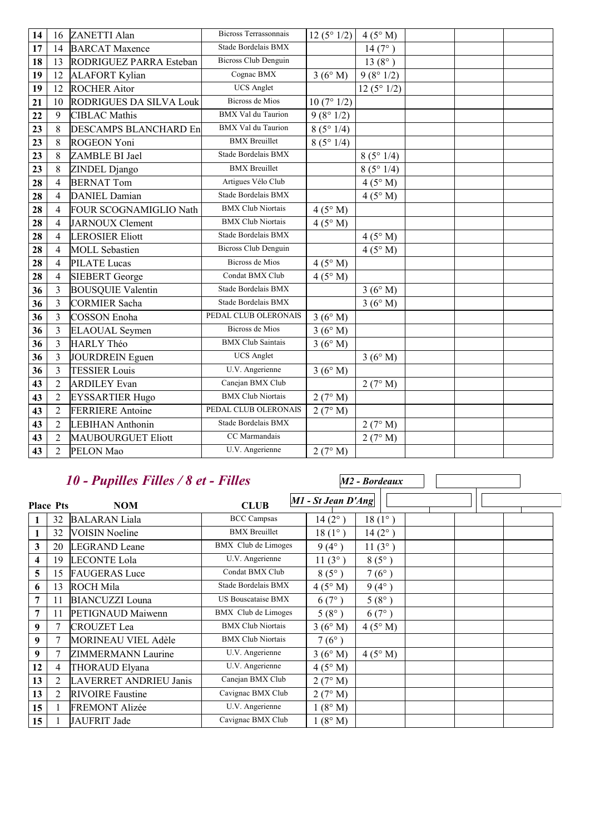| 14 | 16             | ZANETTI Alan                   | <b>Bicross Terrassonnais</b> | 12(5°1/2) | 4(5° M)         |  |
|----|----------------|--------------------------------|------------------------------|-----------|-----------------|--|
| 17 | 14             | <b>BARCAT Maxence</b>          | Stade Bordelais BMX          |           | 14(7°)          |  |
| 18 | 13             | RODRIGUEZ PARRA Esteban        | <b>Bicross Club Denguin</b>  |           | $13(8^{\circ})$ |  |
| 19 | 12             | <b>ALAFORT Kylian</b>          | Cognac BMX                   | 3(6°M)    | 9(8°1/2)        |  |
| 19 | 12             | <b>ROCHER Aitor</b>            | <b>UCS</b> Anglet            |           | 12(5°1/2)       |  |
| 21 | 10             | <b>RODRIGUES DA SILVA Louk</b> | <b>Bicross de Mios</b>       | 10(7°1/2) |                 |  |
| 22 | 9              | <b>CIBLAC Mathis</b>           | <b>BMX</b> Val du Taurion    | 9(8°1/2)  |                 |  |
| 23 | 8              | <b>DESCAMPS BLANCHARD En</b>   | <b>BMX</b> Val du Taurion    | 8(5°1/4)  |                 |  |
| 23 | 8              | <b>ROGEON Yoni</b>             | <b>BMX</b> Breuillet         | 8(5°1/4)  |                 |  |
| 23 | 8              | ZAMBLE BI Jael                 | Stade Bordelais BMX          |           | 8(5°1/4)        |  |
| 23 | 8              | ZINDEL Django                  | <b>BMX</b> Breuillet         |           | 8(5°1/4)        |  |
| 28 | $\overline{4}$ | <b>BERNAT Tom</b>              | Artigues Vélo Club           |           | 4(5° M)         |  |
| 28 | $\overline{4}$ | <b>DANIEL Damian</b>           | Stade Bordelais BMX          |           | 4(5° M)         |  |
| 28 | $\overline{4}$ | FOUR SCOGNAMIGLIO Nath         | <b>BMX Club Niortais</b>     | 4(5° M)   |                 |  |
| 28 | $\overline{4}$ | <b>JARNOUX Clement</b>         | <b>BMX Club Niortais</b>     | 4(5° M)   |                 |  |
| 28 | $\overline{4}$ | <b>LEROSIER Eliott</b>         | Stade Bordelais BMX          |           | 4(5° M)         |  |
| 28 | $\overline{4}$ | <b>MOLL</b> Sebastien          | <b>Bicross Club Denguin</b>  |           | 4(5° M)         |  |
| 28 | $\overline{4}$ | <b>PILATE</b> Lucas            | <b>Bicross de Mios</b>       | 4(5° M)   |                 |  |
| 28 | $\overline{4}$ | <b>SIEBERT</b> George          | Condat BMX Club              | 4(5° M)   |                 |  |
| 36 | 3              | <b>BOUSQUIE Valentin</b>       | Stade Bordelais BMX          |           | 3(6°M)          |  |
| 36 | 3              | <b>CORMIER</b> Sacha           | Stade Bordelais BMX          |           | 3(6°M)          |  |
| 36 | 3              | <b>COSSON</b> Enoha            | PEDAL CLUB OLERONAIS         | 3(6°M)    |                 |  |
| 36 | 3              | <b>ELAOUAL</b> Seymen          | <b>Bicross de Mios</b>       | 3(6°M)    |                 |  |
| 36 | $\overline{3}$ | HARLY Théo                     | <b>BMX Club Saintais</b>     | 3(6°M)    |                 |  |
| 36 | 3              | JOURDREIN Eguen                | <b>UCS</b> Anglet            |           | 3(6°M)          |  |
| 36 | 3              | <b>TESSIER Louis</b>           | U.V. Angerienne              | 3(6°M)    |                 |  |
| 43 | $\overline{2}$ | <b>ARDILEY</b> Evan            | Canejan BMX Club             |           | 2(7° M)         |  |
| 43 | $\overline{2}$ | <b>EYSSARTIER Hugo</b>         | <b>BMX Club Niortais</b>     | 2(7° M)   |                 |  |
| 43 | $\overline{c}$ | <b>FERRIERE</b> Antoine        | PEDAL CLUB OLERONAIS         | 2(7° M)   |                 |  |
| 43 | $\overline{2}$ | <b>LEBIHAN</b> Anthonin        | Stade Bordelais BMX          |           | 2(7° M)         |  |
| 43 | $\overline{2}$ | <b>MAUBOURGUET Eliott</b>      | CC Marmandais                |           | 2(7° M)         |  |
| 43 | $\overline{2}$ | PELON Mao                      | U.V. Angerienne              | 2(7° M)   |                 |  |

## *10 - Pupilles Filles / 8 et - Filles*

|                  |                | 10 - Pupilles Filles / 8 et - Filles |                            |                    | M2 - Bordeaux   |  |  |
|------------------|----------------|--------------------------------------|----------------------------|--------------------|-----------------|--|--|
| <b>Place Pts</b> |                | <b>NOM</b>                           | <b>CLUB</b>                | M1 - St Jean D'Ang |                 |  |  |
| 1                | 32             | <b>BALARAN</b> Liala                 | <b>BCC Campsas</b>         | $14(2^{\circ})$    | $18(1^{\circ})$ |  |  |
| 1                | 32             | <b>VOISIN</b> Noeline                | <b>BMX</b> Breuillet       | $18(1^{\circ})$    | $14(2^{\circ})$ |  |  |
| 3                | 20             | <b>LEGRAND</b> Leane                 | BMX Club de Limoges        | $9(4^{\circ})$     | 11(3°)          |  |  |
| 4                | 19             | <b>LECONTE Lola</b>                  | U.V. Angerienne            | $11(3^{\circ})$    | $8(5^{\circ})$  |  |  |
| 5                | 15             | <b>FAUGERAS</b> Luce                 | Condat BMX Club            | $8(5^\circ)$       | $7(6^{\circ})$  |  |  |
| 6                | 13             | <b>ROCH Mila</b>                     | Stade Bordelais BMX        | 4(5° M)            | $9(4^{\circ})$  |  |  |
| 7                | 11             | <b>BIANCUZZI</b> Louna               | <b>US Bouscataise BMX</b>  | 6(7°)              | $5(8^{\circ})$  |  |  |
| 7                | 11             | PETIGNAUD Maiwenn                    | <b>BMX</b> Club de Limoges | $5(8^{\circ})$     | 6(7°)           |  |  |
| 9                | 7              | <b>CROUZET</b> Lea                   | <b>BMX Club Niortais</b>   | 3(6°M)             | $4(5^\circ M)$  |  |  |
| 9                | 7              | <b>MORINEAU VIEL Adèle</b>           | <b>BMX Club Niortais</b>   | $7(6^{\circ})$     |                 |  |  |
| 9                | 7              | ZIMMERMANN Laurine                   | U.V. Angerienne            | 3(6°M)             | $4(5^\circ M)$  |  |  |
| 12               | 4              | THORAUD Elyana                       | U.V. Angerienne            | 4(5° M)            |                 |  |  |
| 13               | $\overline{2}$ | <b>LAVERRET ANDRIEU Janis</b>        | Canejan BMX Club           | 2(7° M)            |                 |  |  |
| 13               | 2              | <b>RIVOIRE</b> Faustine              | Cavignac BMX Club          | 2(7° M)            |                 |  |  |
| 15               |                | <b>FREMONT Alizée</b>                | U.V. Angerienne            | 1(8° M)            |                 |  |  |
| 15               |                | JAUFRIT Jade                         | Cavignac BMX Club          | 1(8° M)            |                 |  |  |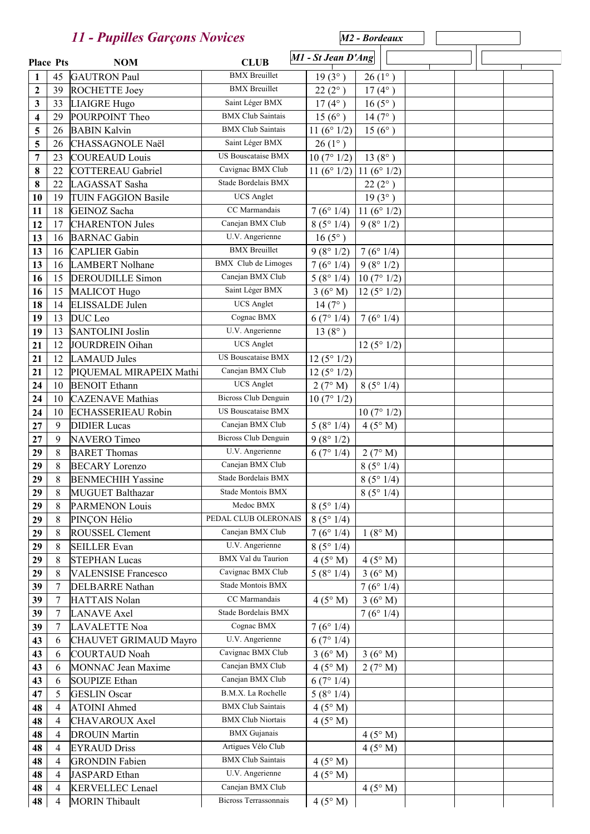|                   |             | 11 - Pupilles Garçons Novices |                             |                                    | M <sub>2</sub> - Bordeaux |  |  |
|-------------------|-------------|-------------------------------|-----------------------------|------------------------------------|---------------------------|--|--|
| <b>Place Pts</b>  |             | <b>NOM</b>                    | <b>CLUB</b>                 | M1 - St Jean D'Ang                 |                           |  |  |
|                   |             | <b>GAUTRON Paul</b>           | <b>BMX</b> Breuillet        |                                    | $26(1^{\circ})$           |  |  |
| 1<br>$\mathbf{2}$ | 45<br>39    | ROCHETTE Joey                 | <b>BMX</b> Breuillet        | $19(3^{\circ})$<br>$22(2^{\circ})$ | $17(4^{\circ})$           |  |  |
| 3                 | 33          | LIAIGRE Hugo                  | Saint Léger BMX             | $17(4^{\circ})$                    | $16(5^{\circ})$           |  |  |
| 4                 | 29          | POURPOINT Theo                | <b>BMX Club Saintais</b>    | $15(6^{\circ})$                    | $14(7^{\circ})$           |  |  |
| 5                 | 26          | <b>BABIN Kalvin</b>           | <b>BMX Club Saintais</b>    | 11 $(6^{\circ} 1/2)$               | $15(6^{\circ})$           |  |  |
| 5                 | 26          | CHASSAGNOLE Naël              | Saint Léger BMX             | $26(1^{\circ})$                    |                           |  |  |
| 7                 | 23          | <b>COUREAUD</b> Louis         | <b>US Bouscataise BMX</b>   | 10(7°1/2)                          | $13(8^{\circ})$           |  |  |
| 8                 | 22          | COTTEREAU Gabriel             | Cavignac BMX Club           | 11 $(6° 1/2)$                      | 11 $(6° 1/2)$             |  |  |
| 8                 | 22          | LAGASSAT Sasha                | Stade Bordelais BMX         |                                    | $22(2^{\circ})$           |  |  |
| 10                | 19          | <b>TUIN FAGGION Basile</b>    | <b>UCS</b> Anglet           |                                    | $19(3^{\circ})$           |  |  |
| 11                | 18          | GEINOZ Sacha                  | CC Marmandais               | 7(6°1/4)                           | 11 $(6° 1/2)$             |  |  |
| 12                | 17          | <b>CHARENTON Jules</b>        | Canejan BMX Club            | 8(5°1/4)                           | 9(8°1/2)                  |  |  |
| 13                | 16          | <b>BARNAC</b> Gabin           | U.V. Angerienne             | $16(5^{\circ})$                    |                           |  |  |
| 13                | 16          | <b>CAPLIER</b> Gabin          | <b>BMX</b> Breuillet        | 9(8°1/2)                           | 7(6°1/4)                  |  |  |
| 13                | 16          | <b>LAMBERT Nolhane</b>        | <b>BMX</b> Club de Limoges  | 7(6°1/4)                           | 9(8°1/2)                  |  |  |
| 16                | 15          | <b>DEROUDILLE</b> Simon       | Canejan BMX Club            | 5(8°1/4)                           | 10(7°1/2)                 |  |  |
| 16                | 15          | MALICOT Hugo                  | Saint Léger BMX             | 3(6°M)                             | 12(5°1/2)                 |  |  |
| 18                | 14          | <b>ELISSALDE</b> Julen        | <b>UCS</b> Anglet           | $14(7^{\circ})$                    |                           |  |  |
| 19                | 13          | DUC Leo                       | Cognac BMX                  | 6(7°1/4)                           | 7(6°1/4)                  |  |  |
| 19                | 13          | <b>SANTOLINI</b> Joslin       | U.V. Angerienne             | $13(8^{\circ})$                    |                           |  |  |
| 21                | 12          | JOURDREIN Oihan               | <b>UCS</b> Anglet           |                                    | 12(5°1/2)                 |  |  |
| 21                | 12          | <b>LAMAUD</b> Jules           | US Bouscataise BMX          | 12(5°1/2)                          |                           |  |  |
| 21                | 12          | PIQUEMAL MIRAPEIX Mathi       | Canejan BMX Club            | 12(5°1/2)                          |                           |  |  |
| 24                | 10          | <b>BENOIT</b> Ethann          | <b>UCS</b> Anglet           | 2(7° M)                            | 8(5°1/4)                  |  |  |
| 24                | 10          | <b>CAZENAVE</b> Mathias       | <b>Bicross Club Denguin</b> | 10(7°1/2)                          |                           |  |  |
| 24                | 10          | <b>ECHASSERIEAU Robin</b>     | <b>US Bouscataise BMX</b>   |                                    | 10(7°1/2)                 |  |  |
| 27                | 9           | <b>DIDIER</b> Lucas           | Canejan BMX Club            | 5(8°1/4)                           | 4(5°M)                    |  |  |
| 27                | 9           | NAVERO Timeo                  | <b>Bicross Club Denguin</b> | 9(8°1/2)                           |                           |  |  |
| 29                | 8           | <b>BARET</b> Thomas           | U.V. Angerienne             | 6(7°1/4)                           | 2(7° M)                   |  |  |
| 29                | $\,$ 8 $\,$ | <b>BECARY</b> Lorenzo         | Canejan BMX Club            |                                    | 8(5°1/4)                  |  |  |
| 29                | 8           | <b>BENMECHIH Yassine</b>      | Stade Bordelais BMX         |                                    | 8(5°1/4)                  |  |  |
| 29                | 8           | <b>MUGUET Balthazar</b>       | Stade Montois BMX           |                                    | 8(5°1/4)                  |  |  |
| 29                | 8           | <b>PARMENON Louis</b>         | Medoc BMX                   | 8(5°1/4)                           |                           |  |  |
| 29                | 8           | PINÇON Hélio                  | PEDAL CLUB OLERONAIS        | 8(5°1/4)                           |                           |  |  |
| 29                | 8           | ROUSSEL Clement               | Canejan BMX Club            | 7(6°1/4)                           | 1(8° M)                   |  |  |
| 29                | 8           | <b>SEILLER Evan</b>           | U.V. Angerienne             | 8(5°1/4)                           |                           |  |  |
| 29                | $\,8\,$     | <b>STEPHAN Lucas</b>          | <b>BMX</b> Val du Taurion   | 4(5° M)                            | 4(5° M)                   |  |  |
| 29                | $\,8\,$     | <b>VALENSISE Francesco</b>    | Cavignac BMX Club           | 5(8°1/4)                           | 3(6°M)                    |  |  |
| 39                | 7           | <b>DELBARRE</b> Nathan        | Stade Montois BMX           |                                    | 7(6°1/4)                  |  |  |
| 39                | 7           | HATTAIS Nolan                 | CC Marmandais               | 4(5° M)                            | 3(6°M)                    |  |  |
| 39                | 7           | <b>LANAVE</b> Axel            | Stade Bordelais BMX         |                                    | 7(6°1/4)                  |  |  |
| 39                | 7           | LAVALETTE Noa                 | Cognac BMX                  | 7(6°1/4)                           |                           |  |  |
| 43                | 6           | CHAUVET GRIMAUD Mayro         | U.V. Angerienne             | 6(7°1/4)                           |                           |  |  |
| 43                | 6           | <b>COURTAUD Noah</b>          | Cavignac BMX Club           | 3(6°M)                             | 3(6°M)                    |  |  |
| 43                | 6           | <b>MONNAC Jean Maxime</b>     | Canejan BMX Club            | 4(5° M)                            | 2(7° M)                   |  |  |
| 43                | 6           | <b>SOUPIZE Ethan</b>          | Canejan BMX Club            | 6(7°1/4)                           |                           |  |  |
| 47                | 5           | <b>GESLIN</b> Oscar           | B.M.X. La Rochelle          | 5(8°1/4)                           |                           |  |  |
| 48                | 4           | <b>ATOINI</b> Ahmed           | <b>BMX Club Saintais</b>    | 4(5° M)                            |                           |  |  |
| 48                | 4           | <b>CHAVAROUX Axel</b>         | <b>BMX Club Niortais</b>    | 4(5° M)                            |                           |  |  |
| 48                | 4           | <b>DROUIN Martin</b>          | <b>BMX</b> Gujanais         |                                    | $4(5^\circ M)$            |  |  |
| 48                | 4           | <b>EYRAUD Driss</b>           | Artigues Vélo Club          |                                    | 4(5°M)                    |  |  |
| 48                | 4           | <b>GRONDIN</b> Fabien         | <b>BMX Club Saintais</b>    | 4(5° M)                            |                           |  |  |
| 48                | 4           | JASPARD Ethan                 | U.V. Angerienne             | 4(5° M)                            |                           |  |  |
| 48                | 4           | <b>KERVELLEC</b> Lenael       | Canejan BMX Club            |                                    | $4(5^\circ M)$            |  |  |
| 48                | 4           | <b>MORIN Thibault</b>         | Bicross Terrassonnais       | 4(5° M)                            |                           |  |  |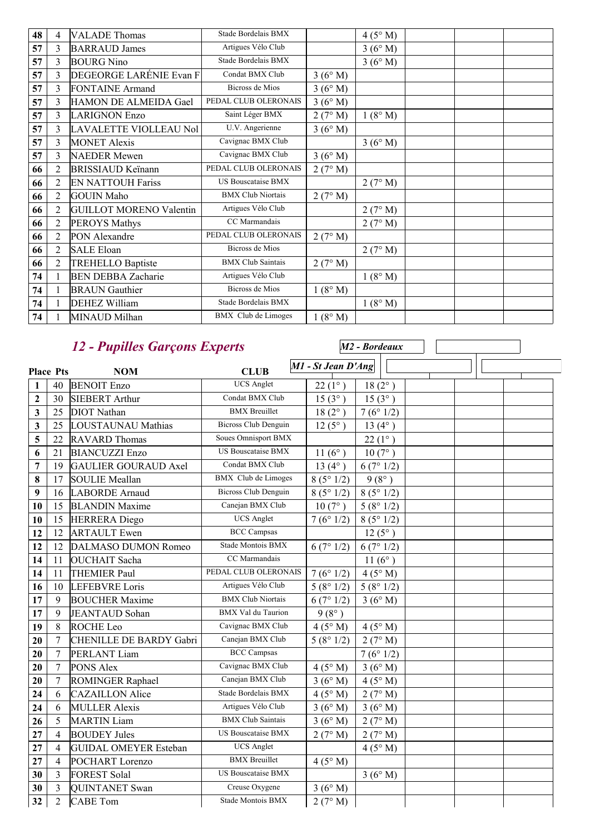| 48 | 4              | <b>VALADE</b> Thomas           | Stade Bordelais BMX        |         | 4(5° M) |  |
|----|----------------|--------------------------------|----------------------------|---------|---------|--|
| 57 | 3              | <b>BARRAUD James</b>           | Artigues Vélo Club         |         | 3(6°M)  |  |
| 57 | 3              | <b>BOURG</b> Nino              | Stade Bordelais BMX        |         | 3(6° M) |  |
| 57 | 3              | DEGEORGE LARÉNIE Evan F        | Condat BMX Club            | 3(6°M)  |         |  |
| 57 | 3              | <b>FONTAINE Armand</b>         | <b>Bicross de Mios</b>     | 3(6° M) |         |  |
| 57 | 3              | HAMON DE ALMEIDA Gael          | PEDAL CLUB OLERONAIS       | 3(6° M) |         |  |
| 57 | 3              | <b>LARIGNON Enzo</b>           | Saint Léger BMX            | 2(7° M) | 1(8° M) |  |
| 57 | $\overline{3}$ | LAVALETTE VIOLLEAU Nol         | U.V. Angerienne            | 3(6°M)  |         |  |
| 57 | 3              | <b>MONET Alexis</b>            | Cavignac BMX Club          |         | 3(6° M) |  |
| 57 | 3              | <b>NAEDER Mewen</b>            | Cavignac BMX Club          | 3(6° M) |         |  |
| 66 | $\overline{2}$ | <b>BRISSIAUD Keïnann</b>       | PEDAL CLUB OLERONAIS       | 2(7° M) |         |  |
| 66 | $\overline{2}$ | <b>EN NATTOUH Fariss</b>       | <b>US Bouscataise BMX</b>  |         | 2(7° M) |  |
| 66 | $\overline{2}$ | <b>GOUIN Maho</b>              | <b>BMX Club Niortais</b>   | 2(7° M) |         |  |
| 66 | $\overline{2}$ | <b>GUILLOT MORENO Valentin</b> | Artigues Vélo Club         |         | 2(7° M) |  |
| 66 | $\overline{2}$ | <b>PEROYS Mathys</b>           | CC Marmandais              |         | 2(7° M) |  |
| 66 | $\overline{2}$ | PON Alexandre                  | PEDAL CLUB OLERONAIS       | 2(7° M) |         |  |
| 66 | $\overline{2}$ | <b>SALE Eloan</b>              | <b>Bicross de Mios</b>     |         | 2(7° M) |  |
| 66 | $\overline{2}$ | <b>TREHELLO Baptiste</b>       | <b>BMX Club Saintais</b>   | 2(7° M) |         |  |
| 74 | $\mathbf{1}$   | <b>BEN DEBBA Zacharie</b>      | Artigues Vélo Club         |         | 1(8° M) |  |
| 74 | 1              | <b>BRAUN</b> Gauthier          | Bicross de Mios            | 1(8° M) |         |  |
| 74 | 1              | <b>DEHEZ William</b>           | Stade Bordelais BMX        |         | 1(8° M) |  |
| 74 |                | MINAUD Milhan                  | <b>BMX</b> Club de Limoges | 1(8° M) |         |  |

## *12 - Pupilles Garçons Experts*

|                  |                  | 12 - Pupilles Garçons Experts  |                             |                    | M <sub>2</sub> - Bordeaux |
|------------------|------------------|--------------------------------|-----------------------------|--------------------|---------------------------|
| <b>Place Pts</b> |                  | <b>NOM</b>                     | <b>CLUB</b>                 | M1 - St Jean D'Ang |                           |
| $\mathbf{1}$     | 40               | <b>BENOIT Enzo</b>             | <b>UCS</b> Anglet           | $22(1^{\circ})$    | $18(2^{\circ})$           |
| $\mathbf{2}$     | 30               | <b>SIEBERT</b> Arthur          | Condat BMX Club             | $15(3^{\circ})$    | $15(3^{\circ})$           |
| 3                | 25               | <b>DIOT</b> Nathan             | <b>BMX</b> Breuillet        | $18(2^{\circ})$    | 7(6°1/2)                  |
| 3                | 25               | LOUSTAUNAU Mathias             | <b>Bicross Club Denguin</b> | $12(5^{\circ})$    | 13 $(4^{\circ})$          |
| 5                | 22               | <b>RAVARD Thomas</b>           | Soues Omnisport BMX         |                    | $22(1^{\circ})$           |
| 6                | 21               | <b>BIANCUZZI Enzo</b>          | <b>US Bouscataise BMX</b>   | 11 $(6^{\circ})$   | $10(7^{\circ})$           |
| 7                | 19               | <b>GAULIER GOURAUD Axel</b>    | Condat BMX Club             | 13 $(4^{\circ})$   | 6(7°1/2)                  |
| 8                | 17               | <b>SOULIE Meallan</b>          | <b>BMX</b> Club de Limoges  | 8(5°1/2)           | $9(8^{\circ})$            |
| 9                | 16               | <b>LABORDE</b> Arnaud          | <b>Bicross Club Denguin</b> | 8(5°1/2)           | 8(5°1/2)                  |
| 10               | 15               | <b>BLANDIN Maxime</b>          | Canejan BMX Club            | $10(7^{\circ})$    | 5(8°1/2)                  |
| 10               | 15               | <b>HERRERA</b> Diego           | <b>UCS</b> Anglet           | 7(6°1/2)           | 8(5°1/2)                  |
| 12               | 12               | <b>ARTAULT</b> Ewen            | <b>BCC</b> Campsas          |                    | $12(5^{\circ})$           |
| 12               | 12               | DALMASO DUMON Romeo            | Stade Montois BMX           | 6(7°1/2)           | 6(7°1/2)                  |
| 14               | 11               | <b>OUCHAIT</b> Sacha           | CC Marmandais               |                    | 11 $(6^{\circ})$          |
| 14               | 11               | <b>THEMIER Paul</b>            | PEDAL CLUB OLERONAIS        | 7(6°1/2)           | 4(5°M)                    |
| 16               | 10               | <b>LEFEBVRE</b> Loris          | Artigues Vélo Club          | 5(8°1/2)           | 5(8°1/2)                  |
| 17               | 9                | <b>BOUCHER Maxime</b>          | <b>BMX Club Niortais</b>    | 6(7°1/2)           | 3(6°M)                    |
| 17               | 9                | <b>JEANTAUD</b> Sohan          | <b>BMX</b> Val du Taurion   | $9(8^{\circ})$     |                           |
| 19               | 8                | ROCHE Leo                      | Cavignac BMX Club           | $4(5^\circ M)$     | 4(5°M)                    |
| 20               | $\boldsymbol{7}$ | <b>CHENILLE DE BARDY Gabri</b> | Canejan BMX Club            | 5(8°1/2)           | 2(7° M)                   |
| 20               | 7                | PERLANT Liam                   | <b>BCC</b> Campsas          |                    | 7(6°1/2)                  |
| 20               | $\boldsymbol{7}$ | PONS Alex                      | Cavignac BMX Club           | 4(5° M)            | 3(6°M)                    |
| 20               | 7                | ROMINGER Raphael               | Canejan BMX Club            | 3(6° M)            | $4(5^\circ M)$            |
| 24               | 6                | <b>CAZAILLON</b> Alice         | Stade Bordelais BMX         | 4(5° M)            | 2(7° M)                   |
| 24               | 6                | <b>MULLER Alexis</b>           | Artigues Vélo Club          | 3(6°M)             | 3(6°M)                    |
| 26               | 5                | <b>MARTIN</b> Liam             | <b>BMX Club Saintais</b>    | 3(6°M)             | 2(7° M)                   |
| 27               | $\overline{4}$   | <b>BOUDEY Jules</b>            | <b>US Bouscataise BMX</b>   | 2(7° M)            | 2(7° M)                   |
| 27               | $\overline{4}$   | <b>GUIDAL OMEYER Esteban</b>   | <b>UCS</b> Anglet           |                    | 4(5° M)                   |
| 27               | $\overline{4}$   | POCHART Lorenzo                | <b>BMX</b> Breuillet        | 4(5° M)            |                           |
| 30               | 3                | <b>FOREST Solal</b>            | <b>US Bouscataise BMX</b>   |                    | 3(6°M)                    |
| 30               | 3                | <b>QUINTANET</b> Swan          | Creuse Oxygene              | 3(6°M)             |                           |
| 32               | $\overline{2}$   | <b>CABE</b> Tom                | Stade Montois BMX           | 2(7° M)            |                           |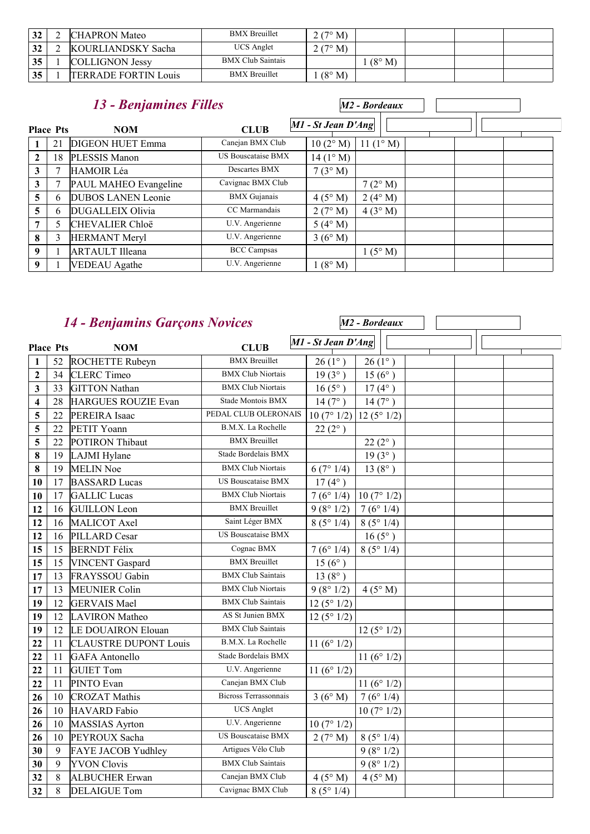| 32 | <b>CHAPRON Mateo</b>        | <b>BMX</b> Breuillet     | 2(7° M)          |                 |  |
|----|-----------------------------|--------------------------|------------------|-----------------|--|
| 32 | KOURLIANDSKY Sacha          | <b>UCS</b> Anglet        | $2(7^{\circ} M)$ |                 |  |
| 35 | <b>COLLIGNON Jessy</b>      | <b>BMX Club Saintais</b> |                  | $(8^{\circ} M)$ |  |
| 35 | <b>TERRADE FORTIN Louis</b> | <b>BMX</b> Breuillet     | $(8^\circ M)$    |                 |  |

|                |                  | 13 - Benjamines Filles    |                           |                      | M2 - Bordeaux      |  |  |
|----------------|------------------|---------------------------|---------------------------|----------------------|--------------------|--|--|
|                | <b>Place Pts</b> | <b>NOM</b>                | <b>CLUB</b>               | $M1$ - St Jean D'Ang |                    |  |  |
|                | 21               | <b>DIGEON HUET Emma</b>   | Canejan BMX Club          | 10(2° M)             | 11 $(1^{\circ} M)$ |  |  |
| $\overline{2}$ | 18               | PLESSIS Manon             | <b>US Bouscataise BMX</b> | $14(1^{\circ} M)$    |                    |  |  |
| 3              |                  | <b>HAMOIR</b> Léa         | Descartes BMX             | 7(3°M)               |                    |  |  |
| 3              |                  | PAUL MAHEO Evangeline     | Cavignac BMX Club         |                      | $7(2^{\circ} M)$   |  |  |
| 5              | 6                | <b>DUBOS LANEN Leonie</b> | <b>BMX</b> Gujanais       | 4(5° M)              | $2(4^{\circ} M)$   |  |  |
| 5              | 6                | <b>DUGALLEIX Olivia</b>   | CC Marmandais             | 2(7° M)              | 4(3° M)            |  |  |
|                | 5                | <b>CHEVALIER Chloë</b>    | U.V. Angerienne           | 5(4°M)               |                    |  |  |
| 8              | 3                | HERMANT Meryl             | U.V. Angerienne           | 3(6°M)               |                    |  |  |
| 9              |                  | <b>ARTAULT Illeana</b>    | <b>BCC</b> Campsas        |                      | $1(5^{\circ} M)$   |  |  |
| 9              |                  | <b>VEDEAU</b> Agathe      | U.V. Angerienne           | $(8^\circ M)$        |                    |  |  |

## *14 - Benjamins Garçons Novices*

|                         |                  | 14 - Benjamins Garçons Novices |                              |                    | M <sub>2</sub> - Bordeaux |  |  |
|-------------------------|------------------|--------------------------------|------------------------------|--------------------|---------------------------|--|--|
|                         | <b>Place Pts</b> | <b>NOM</b>                     | <b>CLUB</b>                  | M1 - St Jean D'Ang |                           |  |  |
| $\mathbf{1}$            | 52               | ROCHETTE Rubeyn                | <b>BMX</b> Breuillet         | $26(1^{\circ})$    | $26(1^{\circ})$           |  |  |
| $\boldsymbol{2}$        | 34               | <b>CLERC</b> Timeo             | <b>BMX Club Niortais</b>     | $19(3^{\circ})$    | $15(6^{\circ})$           |  |  |
| $\mathbf{3}$            | 33               | <b>GITTON Nathan</b>           | <b>BMX Club Niortais</b>     | $16(5^{\circ})$    | $17(4^{\circ})$           |  |  |
| $\overline{\mathbf{4}}$ | 28               | <b>HARGUES ROUZIE Evan</b>     | Stade Montois BMX            | 14(7°)             | $14(7^{\circ})$           |  |  |
| 5                       | 22               | PEREIRA Isaac                  | PEDAL CLUB OLERONAIS         | 10(7°1/2)          | 12(5°1/2)                 |  |  |
| 5                       | 22               | PETIT Yoann                    | B.M.X. La Rochelle           | $22(2^{\circ})$    |                           |  |  |
| 5                       | 22               | POTIRON Thibaut                | <b>BMX</b> Breuillet         |                    | $22(2^{\circ})$           |  |  |
| 8                       | 19               | LAJMI Hylane                   | Stade Bordelais BMX          |                    | $19(3^{\circ})$           |  |  |
| 8                       | 19               | <b>MELIN Noe</b>               | <b>BMX Club Niortais</b>     | 6(7°1/4)           | $13(8^{\circ})$           |  |  |
| 10                      | 17               | <b>BASSARD</b> Lucas           | <b>US Bouscataise BMX</b>    | $17(4^{\circ})$    |                           |  |  |
| 10                      | 17               | <b>GALLIC</b> Lucas            | <b>BMX Club Niortais</b>     | 7(6°1/4)           | 10(7°1/2)                 |  |  |
| 12                      | 16               | <b>GUILLON</b> Leon            | <b>BMX</b> Breuillet         | 9(8°1/2)           | 7(6°1/4)                  |  |  |
| 12                      | 16               | MALICOT Axel                   | Saint Léger BMX              | 8(5°1/4)           | 8(5°1/4)                  |  |  |
| 12                      | 16               | PILLARD Cesar                  | <b>US Bouscataise BMX</b>    |                    | $16(5^{\circ})$           |  |  |
| 15                      | 15               | <b>BERNDT Félix</b>            | Cognac BMX                   | 7(6°1/4)           | 8(5°1/4)                  |  |  |
| 15                      | 15               | <b>VINCENT</b> Gaspard         | <b>BMX</b> Breuillet         | $15(6^{\circ})$    |                           |  |  |
| 17                      | 13               | FRAYSSOU Gabin                 | <b>BMX Club Saintais</b>     | $13(8^{\circ})$    |                           |  |  |
| 17                      | 13               | <b>MEUNIER Colin</b>           | <b>BMX Club Niortais</b>     | 9(8°1/2)           | 4(5° M)                   |  |  |
| 19                      | 12               | <b>GERVAIS Mael</b>            | <b>BMX</b> Club Saintais     | 12(5°1/2)          |                           |  |  |
| 19                      | 12               | <b>LAVIRON</b> Matheo          | AS St Junien BMX             | 12(5°1/2)          |                           |  |  |
| 19                      | 12               | <b>LE DOUAIRON Elouan</b>      | <b>BMX</b> Club Saintais     |                    | 12(5°1/2)                 |  |  |
| 22                      | 11               | <b>CLAUSTRE DUPONT Louis</b>   | B.M.X. La Rochelle           | 11 $(6° 1/2)$      |                           |  |  |
| 22                      | 11               | <b>GAFA</b> Antonello          | Stade Bordelais BMX          |                    | 11 $(6° 1/2)$             |  |  |
| 22                      | 11               | <b>GUIET Tom</b>               | U.V. Angerienne              | 11 $(6° 1/2)$      |                           |  |  |
| 22                      | 11               | PINTO Evan                     | Canejan BMX Club             |                    | 11 $(6° 1/2)$             |  |  |
| 26                      | 10               | <b>CROZAT Mathis</b>           | <b>Bicross Terrassonnais</b> | 3(6°M)             | 7(6°1/4)                  |  |  |
| 26                      | 10               | <b>HAVARD</b> Fabio            | <b>UCS</b> Anglet            |                    | 10(7°1/2)                 |  |  |
| 26                      | 10               | <b>MASSIAS</b> Ayrton          | U.V. Angerienne              | 10(7°1/2)          |                           |  |  |
| 26                      | 10               | PEYROUX Sacha                  | <b>US Bouscataise BMX</b>    | 2(7° M)            | 8(5°1/4)                  |  |  |
| 30                      | 9                | FAYE JACOB Yudhley             | Artigues Vélo Club           |                    | 9(8°1/2)                  |  |  |
| 30                      | 9                | <b>YVON Clovis</b>             | <b>BMX Club Saintais</b>     |                    | 9(8°1/2)                  |  |  |
| 32                      | $\,8\,$          | <b>ALBUCHER Erwan</b>          | Canejan BMX Club             | 4(5° M)            | 4(5°M)                    |  |  |
| 32                      | 8                | <b>DELAIGUE Tom</b>            | Cavignac BMX Club            | 8(5°1/4)           |                           |  |  |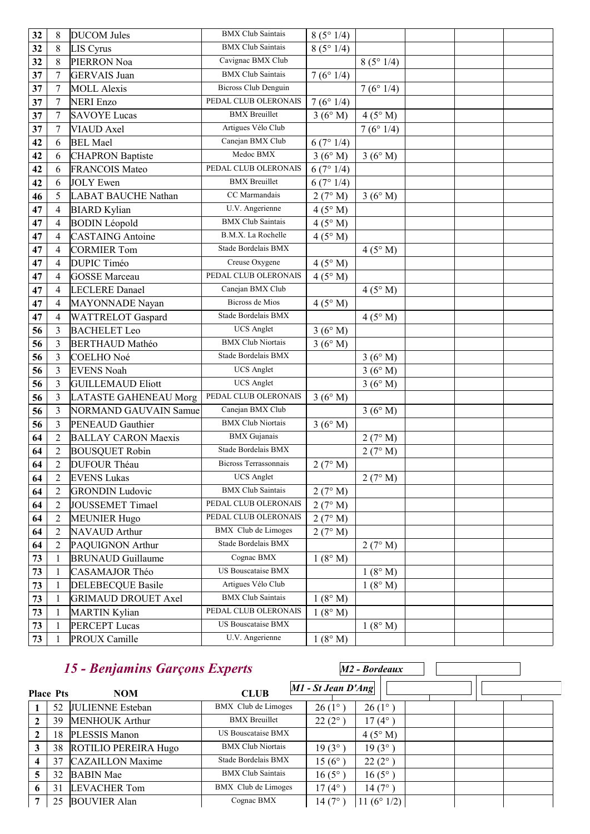| 32 | $\,$ 8 $\,$      | <b>DUCOM</b> Jules           | <b>BMX</b> Club Saintais     | 8(5°1/4) |          |  |
|----|------------------|------------------------------|------------------------------|----------|----------|--|
| 32 | 8                | <b>LIS Cyrus</b>             | <b>BMX</b> Club Saintais     | 8(5°1/4) |          |  |
| 32 | 8                | PIERRON Noa                  | Cavignac BMX Club            |          | 8(5°1/4) |  |
| 37 | 7                | <b>GERVAIS</b> Juan          | <b>BMX</b> Club Saintais     | 7(6°1/4) |          |  |
| 37 | 7                | <b>MOLL Alexis</b>           | <b>Bicross Club Denguin</b>  |          | 7(6°1/4) |  |
| 37 | $\boldsymbol{7}$ | <b>NERI Enzo</b>             | PEDAL CLUB OLERONAIS         | 7(6°1/4) |          |  |
| 37 | $\boldsymbol{7}$ | <b>SAVOYE Lucas</b>          | <b>BMX</b> Breuillet         | 3(6°M)   | 4(5° M)  |  |
| 37 | 7                | VIAUD Axel                   | Artigues Vélo Club           |          | 7(6°1/4) |  |
| 42 | 6                | <b>BEL Mael</b>              | Canejan BMX Club             | 6(7°1/4) |          |  |
| 42 | 6                | <b>CHAPRON Baptiste</b>      | Medoc BMX                    | 3(6°M)   | 3(6° M)  |  |
| 42 | 6                | <b>FRANCOIS Mateo</b>        | PEDAL CLUB OLERONAIS         | 6(7°1/4) |          |  |
| 42 | 6                | <b>JOLY</b> Ewen             | <b>BMX</b> Breuillet         | 6(7°1/4) |          |  |
| 46 | 5                | <b>LABAT BAUCHE Nathan</b>   | CC Marmandais                | 2(7° M)  | 3(6°M)   |  |
| 47 | $\overline{4}$   | <b>BIARD</b> Kylian          | U.V. Angerienne              | 4(5° M)  |          |  |
| 47 | $\overline{4}$   | <b>BODIN</b> Léopold         | <b>BMX</b> Club Saintais     | 4(5° M)  |          |  |
| 47 | 4                | <b>CASTAING</b> Antoine      | B.M.X. La Rochelle           | 4(5° M)  |          |  |
| 47 | $\overline{4}$   | <b>CORMIER Tom</b>           | Stade Bordelais BMX          |          | 4(5° M)  |  |
| 47 | $\overline{4}$   | <b>DUPIC Timéo</b>           | Creuse Oxygene               | 4(5° M)  |          |  |
| 47 | 4                | <b>GOSSE</b> Marceau         | PEDAL CLUB OLERONAIS         | 4(5° M)  |          |  |
| 47 | $\overline{4}$   | <b>LECLERE</b> Danael        | Canejan BMX Club             |          | 4(5° M)  |  |
| 47 | $\overline{4}$   | MAYONNADE Nayan              | <b>Bicross de Mios</b>       | 4(5° M)  |          |  |
| 47 | $\overline{4}$   | WATTRELOT Gaspard            | Stade Bordelais BMX          |          | 4(5° M)  |  |
| 56 | 3                | <b>BACHELET Leo</b>          | <b>UCS</b> Anglet            | 3(6°M)   |          |  |
| 56 | 3                | <b>BERTHAUD Mathéo</b>       | <b>BMX Club Niortais</b>     | 3(6°M)   |          |  |
| 56 | 3                | COELHO Noé                   | Stade Bordelais BMX          |          | 3(6° M)  |  |
| 56 | 3                | <b>EVENS Noah</b>            | <b>UCS</b> Anglet            |          | 3(6° M)  |  |
| 56 | 3                | <b>GUILLEMAUD Eliott</b>     | <b>UCS</b> Anglet            |          | 3(6°M)   |  |
| 56 | 3                | <b>LATASTE GAHENEAU Morg</b> | PEDAL CLUB OLERONAIS         | 3(6°M)   |          |  |
| 56 | 3                | <b>NORMAND GAUVAIN Samue</b> | Canejan BMX Club             |          | 3(6°M)   |  |
| 56 | 3                | PENEAUD Gauthier             | <b>BMX Club Niortais</b>     | 3(6°M)   |          |  |
| 64 | $\overline{2}$   | <b>BALLAY CARON Maexis</b>   | <b>BMX</b> Gujanais          |          | 2(7° M)  |  |
| 64 | $\sqrt{2}$       | <b>BOUSQUET Robin</b>        | Stade Bordelais BMX          |          | 2(7° M)  |  |
| 64 | $\overline{c}$   | <b>DUFOUR Théau</b>          | <b>Bicross Terrassonnais</b> | 2(7° M)  |          |  |
| 64 | $\overline{2}$   | <b>EVENS Lukas</b>           | <b>UCS</b> Anglet            |          | 2(7° M)  |  |
| 64 | $\overline{2}$   | <b>GRONDIN Ludovic</b>       | <b>BMX</b> Club Saintais     | 2(7° M)  |          |  |
| 64 | $\overline{2}$   | JOUSSEMET Timael             | PEDAL CLUB OLERONAIS         | 2(7° M)  |          |  |
| 64 | $\overline{2}$   | <b>MEUNIER Hugo</b>          | PEDAL CLUB OLERONAIS         | 2(7° M)  |          |  |
| 64 | $\overline{2}$   | NAVAUD Arthur                | <b>BMX</b> Club de Limoges   | 2(7° M)  |          |  |
| 64 | $\sqrt{2}$       | PAQUIGNON Arthur             | Stade Bordelais BMX          |          | 2(7° M)  |  |
| 73 | 1                | <b>BRUNAUD</b> Guillaume     | Cognac BMX                   | 1(8° M)  |          |  |
| 73 | $\mathbf{1}$     | CASAMAJOR Théo               | US Bouscataise BMX           |          | 1(8° M)  |  |
| 73 | $\mathbf{1}$     | <b>DELEBECQUE Basile</b>     | Artigues Vélo Club           |          | 1(8° M)  |  |
| 73 | $\mathbf{1}$     | <b>GRIMAUD DROUET Axel</b>   | <b>BMX Club Saintais</b>     | 1(8° M)  |          |  |
| 73 | $\mathbf{1}$     | <b>MARTIN Kylian</b>         | PEDAL CLUB OLERONAIS         | 1(8° M)  |          |  |
| 73 | 1                | <b>PERCEPT Lucas</b>         | US Bouscataise BMX           |          | 1(8° M)  |  |
| 73 | 1                | PROUX Camille                | U.V. Angerienne              | 1(8° M)  |          |  |

#### **Place** *15 - Benjamins Garçons Experts* **Phono Phono Phono Phono Phono Phono Phono Phono Phono Phono Phono Phono Phono Phono Phono Phono Phono Phono Phono Phono Phono Phono Phono Phono Phono Phono Phono Phono** *M2 - Bordeaux* **NOM CLUB 1** 52 JULIENNE Esteban BMX Club de Limoges  $26 (1^\circ)$  26 (1°) **2** 39 MENHOUK Arthur BMX Breuillet 22 (2°) 17 (4°) **2** 18 PLESSIS Manon US Bouscataise BMX 4 (5° M)<br> **3** 38 ROTILIO PEREIRA Hugo BMX Club Niortais 19 (3°) 19 (3°) 38 ROTILIO PEREIRA Hugo BMX Club Niortais 19 (3°) 19 (3°) 37 CAZAILLON Maxime Stade Bordelais BMX 15 (6°) 22 (2°) 32 BABIN Mae BMX Club Saintais 16 (5°) 16 (5°) 31 LEVACHER Tom BMX Club de Limoges 17 (4°) 14 (7°) 25 BOUVIER Alan Cognac BMX 14 (7°) 11 (6° 1/2)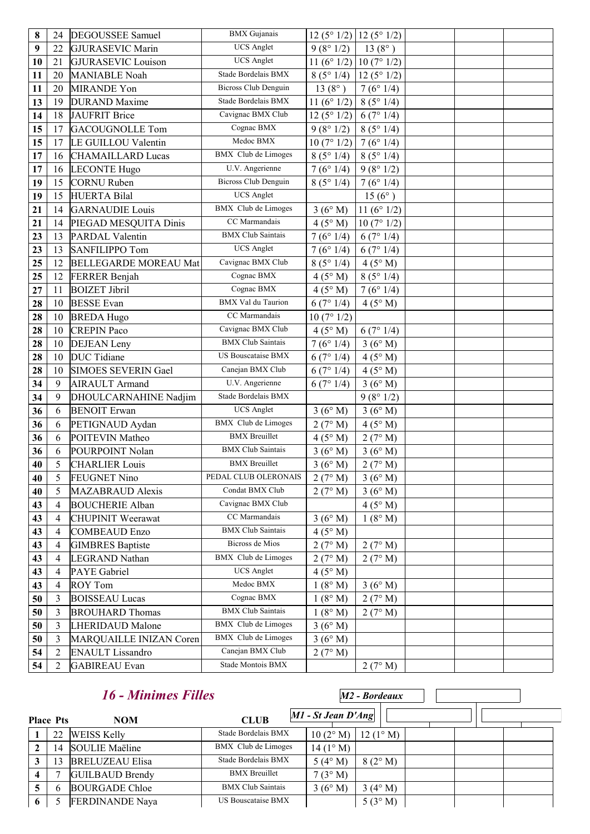| 8  | 24             | <b>DEGOUSSEE Samuel</b>      | <b>BMX</b> Gujanais         | $12(5^{\circ}1/2)$    | 12(5°1/2)       |  |
|----|----------------|------------------------------|-----------------------------|-----------------------|-----------------|--|
| 9  | 22             | <b>GJURASEVIC Marin</b>      | <b>UCS</b> Anglet           | 9(8°1/2)              | $13(8^{\circ})$ |  |
| 10 | 21             | <b>GJURASEVIC Louison</b>    | <b>UCS</b> Anglet           | 11 $(6^{\circ} 1/2)$  | 10(7°1/2)       |  |
| 11 | 20             | <b>MANIABLE Noah</b>         | Stade Bordelais BMX         | 8(5°1/4)              | 12(5°1/2)       |  |
| 11 | 20             | <b>MIRANDE Yon</b>           | <b>Bicross Club Denguin</b> | 13 $(8^{\circ})$      | 7(6°1/4)        |  |
| 13 | 19             | <b>DURAND</b> Maxime         | Stade Bordelais BMX         | 11 ( $6^{\circ}$ 1/2) | 8(5°1/4)        |  |
| 14 | 18             | <b>JAUFRIT Brice</b>         | Cavignac BMX Club           | $12(5^{\circ}1/2)$    | 6(7°1/4)        |  |
| 15 | 17             | <b>GACOUGNOLLE Tom</b>       | Cognac BMX                  | 9(8°1/2)              | 8(5°1/4)        |  |
| 15 | 17             | LE GUILLOU Valentin          | Medoc BMX                   | 10(7°1/2)             | 7(6°1/4)        |  |
| 17 | 16             | <b>CHAMAILLARD Lucas</b>     | <b>BMX</b> Club de Limoges  | 8(5°1/4)              | 8(5°1/4)        |  |
| 17 | 16             | <b>LECONTE Hugo</b>          | U.V. Angerienne             | 7(6°1/4)              | 9(8°1/2)        |  |
| 19 | 15             | <b>CORNU Ruben</b>           | <b>Bicross Club Denguin</b> | 8(5°1/4)              | 7(6°1/4)        |  |
| 19 | 15             | <b>HUERTA Bilal</b>          | <b>UCS</b> Anglet           |                       | $15(6^{\circ})$ |  |
| 21 | 14             | <b>GARNAUDIE</b> Louis       | <b>BMX</b> Club de Limoges  | 3(6°M)                | 11 $(6° 1/2)$   |  |
| 21 | 14             | PIEGAD MESQUITA Dinis        | CC Marmandais               | 4(5° M)               | 10(7°1/2)       |  |
| 23 | 13             | <b>PARDAL Valentin</b>       | <b>BMX Club Saintais</b>    | 7(6°1/4)              | 6(7°1/4)        |  |
| 23 | 13             | <b>SANFILIPPO Tom</b>        | <b>UCS</b> Anglet           | 7(6°1/4)              | 6(7°1/4)        |  |
| 25 | 12             | <b>BELLEGARDE MOREAU Mat</b> | Cavignac BMX Club           | 8(5°1/4)              | 4(5° M)         |  |
| 25 | 12             | <b>FERRER Benjah</b>         | Cognac BMX                  | 4(5° M)               | 8(5°1/4)        |  |
| 27 | 11             | <b>BOIZET Jibril</b>         | Cognac BMX                  | $4(5^\circ M)$        | 7(6°1/4)        |  |
| 28 | 10             | <b>BESSE</b> Evan            | <b>BMX</b> Val du Taurion   | 6(7°1/4)              | 4(5° M)         |  |
| 28 | 10             | <b>BREDA Hugo</b>            | CC Marmandais               | 10(7°1/2)             |                 |  |
| 28 | 10             | <b>CREPIN Paco</b>           | Cavignac BMX Club           | 4(5° M)               | 6(7°1/4)        |  |
| 28 | 10             | <b>DEJEAN</b> Leny           | <b>BMX</b> Club Saintais    | 7(6°1/4)              | 3(6°M)          |  |
| 28 | 10             | <b>DUC</b> Tidiane           | US Bouscataise BMX          | 6(7°1/4)              | 4(5° M)         |  |
| 28 | 10             | SIMOES SEVERIN Gael          | Canejan BMX Club            | 6(7°1/4)              | 4(5° M)         |  |
| 34 | 9              | <b>AIRAULT</b> Armand        | U.V. Angerienne             | 6(7°1/4)              | 3(6°M)          |  |
| 34 | 9              | DHOULCARNAHINE Nadjim        | Stade Bordelais BMX         |                       | 9(8°1/2)        |  |
| 36 | 6              | <b>BENOIT</b> Erwan          | <b>UCS</b> Anglet           | 3(6°M)                | 3(6°M)          |  |
| 36 | 6              | PETIGNAUD Aydan              | <b>BMX</b> Club de Limoges  | 2(7° M)               | 4(5° M)         |  |
| 36 | 6              | POITEVIN Matheo              | <b>BMX</b> Breuillet        | 4(5° M)               | 2(7° M)         |  |
| 36 | 6              | POURPOINT Nolan              | <b>BMX Club Saintais</b>    | 3(6°M)                | 3(6°M)          |  |
| 40 | 5              | <b>CHARLIER Louis</b>        | <b>BMX</b> Breuillet        | 3(6° M)               | 2(7° M)         |  |
| 40 | 5              | <b>FEUGNET Nino</b>          | PEDAL CLUB OLERONAIS        | 2(7° M)               | 3(6°M)          |  |
| 40 | 5              | <b>MAZABRAUD Alexis</b>      | Condat BMX Club             | 2(7° M)               | 3(6°M)          |  |
| 43 | $\overline{4}$ | <b>BOUCHERIE Alban</b>       | Cavignac BMX Club           |                       | 4(5° M)         |  |
| 43 | $\overline{4}$ | <b>CHUPINIT Weerawat</b>     | CC Marmandais               | 3(6° M)               | 1(8° M)         |  |
| 43 | $\overline{4}$ | <b>COMBEAUD Enzo</b>         | <b>BMX</b> Club Saintais    | $4(5^\circ M)$        |                 |  |
| 43 | 4              | <b>GIMBRES Baptiste</b>      | Bicross de Mios             | 2(7° M)               | 2(7° M)         |  |
| 43 | $\overline{4}$ | <b>LEGRAND Nathan</b>        | <b>BMX</b> Club de Limoges  | 2(7° M)               | 2(7° M)         |  |
| 43 | $\overline{4}$ | <b>PAYE</b> Gabriel          | <b>UCS</b> Anglet           | 4(5° M)               |                 |  |
| 43 | $\overline{4}$ | <b>ROY Tom</b>               | Medoc BMX                   | 1(8° M)               | 3(6°M)          |  |
| 50 | 3              | <b>BOISSEAU Lucas</b>        | Cognac BMX                  | 1(8° M)               | 2(7° M)         |  |
| 50 | 3              | <b>BROUHARD Thomas</b>       | <b>BMX Club Saintais</b>    | 1(8° M)               | 2(7° M)         |  |
| 50 | 3              | <b>LHERIDAUD Malone</b>      | <b>BMX</b> Club de Limoges  | 3(6° M)               |                 |  |
| 50 | 3              | MARQUAILLE INIZAN Coren      | <b>BMX</b> Club de Limoges  | 3(6°M)                |                 |  |
| 54 | $\overline{2}$ | <b>ENAULT Lissandro</b>      | Canejan BMX Club            | 2(7° M)               |                 |  |
| 54 | $\overline{2}$ | <b>GABIREAU</b> Evan         | Stade Montois BMX           |                       | 2(7° M)         |  |

|   |                  | <b>16 - Minimes Filles</b> |                          |                      | M2 - Bordeaux     |  |
|---|------------------|----------------------------|--------------------------|----------------------|-------------------|--|
|   | <b>Place Pts</b> | <b>NOM</b>                 | <b>CLUB</b>              | $MI - St Jean D'Ang$ |                   |  |
|   | 22               | <b>WEISS Kelly</b>         | Stade Bordelais BMX      | $10(2^{\circ} M)$    | $12(1^{\circ} M)$ |  |
|   | 14               | SOULIE Maëline             | BMX Club de Limoges      | $14(1^{\circ} M)$    |                   |  |
|   | 13               | <b>BRELUZEAU Elisa</b>     | Stade Bordelais BMX      | 5 $(4^{\circ} M)$    | $8(2^{\circ} M)$  |  |
|   |                  | <b>GUILBAUD Brendy</b>     | <b>BMX</b> Breuillet     | 7(3° M)              |                   |  |
|   | b                | <b>BOURGADE Chloe</b>      | <b>BMX Club Saintais</b> | 3(6°M)               | $3(4^{\circ} M)$  |  |
| 6 |                  | <b>FERDINANDE Naya</b>     | US Bouscataise BMX       |                      | 5(3°M)            |  |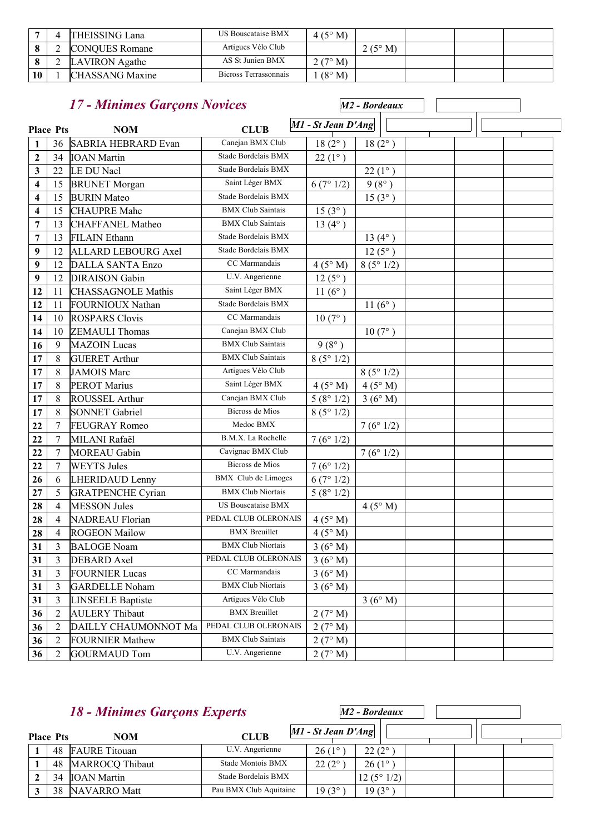|    | <b>THEISSING Lana</b>  | US Bouscataise BMX    | $4(5^{\circ} M)$ |  |  |
|----|------------------------|-----------------------|------------------|--|--|
|    | <b>CONOUES Romane</b>  | Artigues Vélo Club    | $2(5^{\circ} M)$ |  |  |
|    | LAVIRON Agathe         | AS St Junien BMX      | 2(7° M)          |  |  |
| 10 | <b>CHASSANG Maxine</b> | Bicross Terrassonnais | $(8^\circ M)$    |  |  |

|                         | 17 - Minimes Garçons Novices |                            |                            |                    | M <sub>2</sub> - Bordeaux |  |  |
|-------------------------|------------------------------|----------------------------|----------------------------|--------------------|---------------------------|--|--|
| <b>Place Pts</b>        |                              | <b>NOM</b>                 | <b>CLUB</b>                | M1 - St Jean D'Ang |                           |  |  |
| 1                       | 36                           | <b>SABRIA HEBRARD Evan</b> | Canejan BMX Club           | $18(2^{\circ})$    | $18(2^{\circ})$           |  |  |
| $\boldsymbol{2}$        | 34                           | <b>IOAN</b> Martin         | Stade Bordelais BMX        | $22(1^{\circ})$    |                           |  |  |
| 3                       | 22                           | LE DU Nael                 | Stade Bordelais BMX        |                    | $22(1^{\circ})$           |  |  |
| 4                       | 15                           | <b>BRUNET</b> Morgan       | Saint Léger BMX            | 6(7°1/2)           | $9(8^{\circ})$            |  |  |
| 4                       | 15                           | <b>BURIN</b> Mateo         | Stade Bordelais BMX        |                    | $15(3^{\circ})$           |  |  |
| $\overline{\mathbf{4}}$ | 15                           | <b>CHAUPRE Mahe</b>        | <b>BMX Club Saintais</b>   | $15(3^{\circ})$    |                           |  |  |
| 7                       | 13                           | <b>CHAFFANEL Matheo</b>    | <b>BMX</b> Club Saintais   | 13 $(4^{\circ})$   |                           |  |  |
| 7                       | 13                           | <b>FILAIN</b> Ethann       | Stade Bordelais BMX        |                    | $13(4^{\circ})$           |  |  |
| 9                       | 12                           | <b>ALLARD LEBOURG Axel</b> | Stade Bordelais BMX        |                    | $12(5^{\circ})$           |  |  |
| $\boldsymbol{9}$        | 12                           | <b>DALLA SANTA Enzo</b>    | CC Marmandais              | 4(5° M)            | 8(5°1/2)                  |  |  |
| 9                       | 12                           | <b>DIRAISON</b> Gabin      | U.V. Angerienne            | $12(5^{\circ})$    |                           |  |  |
| 12                      | 11                           | <b>CHASSAGNOLE Mathis</b>  | Saint Léger BMX            | 11 $(6^{\circ})$   |                           |  |  |
| 12                      | 11                           | <b>FOURNIOUX Nathan</b>    | Stade Bordelais BMX        |                    | 11 $(6^{\circ})$          |  |  |
| 14                      | 10                           | <b>ROSPARS Clovis</b>      | CC Marmandais              | $10(7^{\circ})$    |                           |  |  |
| 14                      | 10                           | <b>ZEMAULI</b> Thomas      | Canejan BMX Club           |                    | $10(7^{\circ})$           |  |  |
| 16                      | 9                            | <b>MAZOIN</b> Lucas        | <b>BMX</b> Club Saintais   | $9(8^{\circ})$     |                           |  |  |
| 17                      | $\,8\,$                      | <b>GUERET Arthur</b>       | <b>BMX</b> Club Saintais   | 8(5°1/2)           |                           |  |  |
| 17                      | 8                            | <b>JAMOIS Marc</b>         | Artigues Vélo Club         |                    | 8(5°1/2)                  |  |  |
| 17                      | $\,8\,$                      | <b>PEROT Marius</b>        | Saint Léger BMX            | 4(5° M)            | 4(5° M)                   |  |  |
| 17                      | $\,8\,$                      | <b>ROUSSEL Arthur</b>      | Canejan BMX Club           | 5(8°1/2)           | 3(6°M)                    |  |  |
| 17                      | 8                            | <b>SONNET Gabriel</b>      | Bicross de Mios            | 8(5°1/2)           |                           |  |  |
| 22                      | $\tau$                       | <b>FEUGRAY Romeo</b>       | Medoc BMX                  |                    | 7(6°1/2)                  |  |  |
| 22                      | $\tau$                       | MILANI Rafaël              | B.M.X. La Rochelle         | 7(6°1/2)           |                           |  |  |
| 22                      | $\tau$                       | <b>MOREAU</b> Gabin        | Cavignac BMX Club          |                    | 7(6°1/2)                  |  |  |
| 22                      | $\tau$                       | <b>WEYTS Jules</b>         | Bicross de Mios            | 7(6°1/2)           |                           |  |  |
| 26                      | 6                            | LHERIDAUD Lenny            | <b>BMX</b> Club de Limoges | 6(7°1/2)           |                           |  |  |
| 27                      | 5                            | <b>GRATPENCHE Cyrian</b>   | <b>BMX Club Niortais</b>   | 5(8°1/2)           |                           |  |  |
| 28                      | $\overline{4}$               | <b>MESSON Jules</b>        | <b>US Bouscataise BMX</b>  |                    | 4(5° M)                   |  |  |
| 28                      | 4                            | <b>NADREAU Florian</b>     | PEDAL CLUB OLERONAIS       | 4(5° M)            |                           |  |  |
| 28                      | $\overline{4}$               | <b>ROGEON Mailow</b>       | <b>BMX</b> Breuillet       | 4(5° M)            |                           |  |  |
| 31                      | 3                            | <b>BALOGE Noam</b>         | <b>BMX Club Niortais</b>   | 3(6°M)             |                           |  |  |
| 31                      | 3                            | DEBARD Axel                | PEDAL CLUB OLERONAIS       | 3(6°M)             |                           |  |  |
| 31                      | 3                            | <b>FOURNIER Lucas</b>      | CC Marmandais              | 3(6°M)             |                           |  |  |
| 31                      | 3                            | <b>GARDELLE Noham</b>      | <b>BMX Club Niortais</b>   | 3(6°M)             |                           |  |  |
| 31                      | $\mathfrak{Z}$               | <b>LINSEELE Baptiste</b>   | Artigues Vélo Club         |                    | 3(6°M)                    |  |  |
| 36                      | $\overline{2}$               | <b>AULERY Thibaut</b>      | <b>BMX</b> Breuillet       | 2(7° M)            |                           |  |  |
| 36                      | $\overline{2}$               | DAILLY CHAUMONNOT Ma       | PEDAL CLUB OLERONAIS       | 2(7° M)            |                           |  |  |
| 36                      | $\overline{2}$               | <b>FOURNIER Mathew</b>     | <b>BMX</b> Club Saintais   | 2(7° M)            |                           |  |  |
| 36                      | $\overline{2}$               | <b>GOURMAUD Tom</b>        | U.V. Angerienne            | 2(7° M)            |                           |  |  |

| <b>18 - Minimes Garçons Experts</b> |                        |                        |                      | $M2$ - Bordeaux |  |  |
|-------------------------------------|------------------------|------------------------|----------------------|-----------------|--|--|
| <b>Place Pts</b>                    | <b>NOM</b>             | <b>CLUB</b>            | $MI - St Jean D'Ang$ |                 |  |  |
|                                     | 48 FAURE Titouan       | U.V. Angerienne        | $26(1^{\circ}$       | $22(2^{\circ})$ |  |  |
| 48                                  | <b>MARROCQ Thibaut</b> | Stade Montois BMX      | $22(2^{\circ})$      | $26(1^{\circ})$ |  |  |
| 34                                  | <b>IOAN</b> Martin     | Stade Bordelais BMX    |                      | 12(5°1/2)       |  |  |
| 38                                  | <b>NAVARRO</b> Matt    | Pau BMX Club Aquitaine | $19(3^{\circ}$       | $19(3^{\circ})$ |  |  |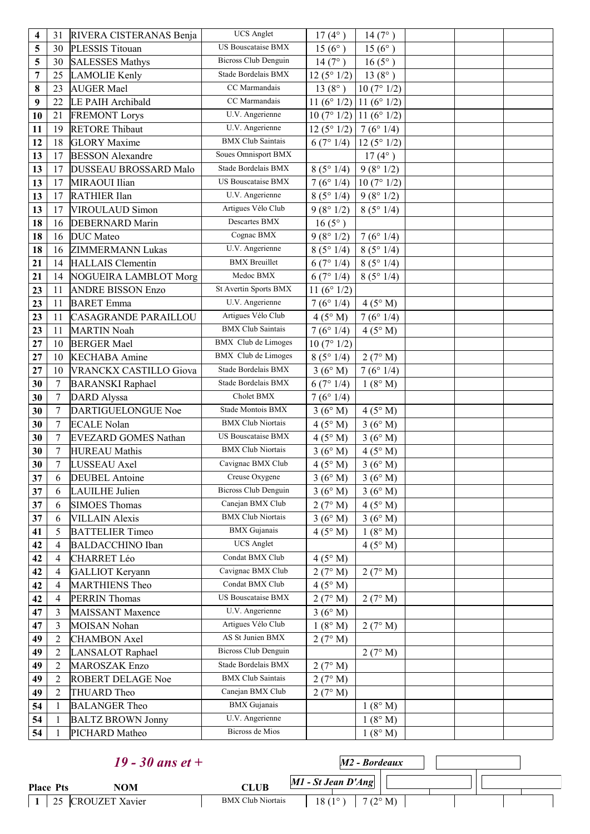| 4              | 31               | RIVERA CISTERANAS Benja      | <b>UCS</b> Anglet           | $17(4^{\circ})$           | 14(7°)           |  |
|----------------|------------------|------------------------------|-----------------------------|---------------------------|------------------|--|
| 5              | 30               | PLESSIS Titouan              | <b>US Bouscataise BMX</b>   | $15(6^{\circ})$           | $15(6^{\circ})$  |  |
| 5              | 30               | <b>SALESSES Mathys</b>       | <b>Bicross Club Denguin</b> | 14(7°)                    | $16(5^{\circ})$  |  |
| $\overline{7}$ | 25               | <b>LAMOLIE</b> Kenly         | Stade Bordelais BMX         | 12(5°1/2)                 | 13 $(8^{\circ})$ |  |
| 8              | 23               | <b>AUGER Mael</b>            | CC Marmandais               | 13 $(8^{\circ})$          | 10(7°1/2)        |  |
| 9              | 22               | LE PAIH Archibald            | CC Marmandais               | 11 (6° 1/2)   11 (6° 1/2) |                  |  |
| 10             | 21               | <b>FREMONT Lorys</b>         | U.V. Angerienne             | $10(7°1/2)$ 11 (6° 1/2)   |                  |  |
| 11             | 19               | <b>RETORE Thibaut</b>        | U.V. Angerienne             | 12(5°1/2)                 | 7(6°1/4)         |  |
| 12             | 18               | <b>GLORY</b> Maxime          | <b>BMX Club Saintais</b>    | 6(7°1/4)                  | 12(5°1/2)        |  |
| 13             | 17               | <b>BESSON</b> Alexandre      | Soues Omnisport BMX         |                           | $17(4^{\circ})$  |  |
| 13             | 17               | <b>DUSSEAU BROSSARD Malo</b> | Stade Bordelais BMX         | 8(5°1/4)                  | 9(8°1/2)         |  |
| 13             | 17               | MIRAOUI Ilian                | US Bouscataise BMX          | 7(6°1/4)                  | 10(7°1/2)        |  |
| 13             | 17               | <b>RATHIER Ilan</b>          | U.V. Angerienne             | 8(5°1/4)                  | 9(8°1/2)         |  |
| 13             | 17               | <b>VIROULAUD Simon</b>       | Artigues Vélo Club          | 9(8°1/2)                  | 8(5°1/4)         |  |
| 18             | 16               | <b>DEBERNARD Marin</b>       | Descartes BMX               | $16(5^{\circ})$           |                  |  |
| 18             | 16               | <b>DUC</b> Mateo             | Cognac BMX                  | 9(8°1/2)                  | 7(6°1/4)         |  |
| 18             | 16               | <b>ZIMMERMANN Lukas</b>      | U.V. Angerienne             | 8(5°1/4)                  | 8(5°1/4)         |  |
| 21             | 14               | <b>HALLAIS</b> Clementin     | <b>BMX</b> Breuillet        | 6(7°1/4)                  | 8(5°1/4)         |  |
| 21             | 14               | NOGUEIRA LAMBLOT Morg        | Medoc BMX                   | 6(7°1/4)                  | 8(5°1/4)         |  |
| 23             | 11               | <b>ANDRE BISSON Enzo</b>     | St Avertin Sports BMX       | 11 ( $6^{\circ}$ 1/2)     |                  |  |
| 23             | 11               | <b>BARET</b> Emma            | U.V. Angerienne             | 7(6°1/4)                  | 4(5° M)          |  |
| 23             | 11               | <b>CASAGRANDE PARAILLOU</b>  | Artigues Vélo Club          | 4(5° M)                   | 7(6°1/4)         |  |
| 23             | 11               | <b>MARTIN Noah</b>           | <b>BMX Club Saintais</b>    | 7(6°1/4)                  | 4(5°M)           |  |
| 27             | 10               | <b>BERGER Mael</b>           | <b>BMX</b> Club de Limoges  | 10(7°1/2)                 |                  |  |
| 27             | 10               | <b>KECHABA</b> Amine         | <b>BMX</b> Club de Limoges  | 8(5°1/4)                  | 2(7° M)          |  |
| 27             | 10               | VRANCKX CASTILLO Giova       | Stade Bordelais BMX         | 3(6° M)                   | 7(6°1/4)         |  |
| 30             | $\boldsymbol{7}$ | <b>BARANSKI</b> Raphael      | Stade Bordelais BMX         | 6(7°1/4)                  | 1(8° M)          |  |
| 30             | $\overline{7}$   | <b>DARD</b> Alyssa           | Cholet BMX                  | 7(6°1/4)                  |                  |  |
| 30             | $\overline{7}$   | DARTIGUELONGUE Noe           | Stade Montois BMX           | 3(6°M)                    | 4(5° M)          |  |
| 30             | $\tau$           | <b>ECALE Nolan</b>           | <b>BMX Club Niortais</b>    | 4(5° M)                   | 3(6°M)           |  |
| 30             | 7                | <b>EVEZARD GOMES Nathan</b>  | <b>US Bouscataise BMX</b>   | 4(5° M)                   | 3(6° M)          |  |
| 30             | 7                | <b>HUREAU</b> Mathis         | <b>BMX Club Niortais</b>    | 3(6°M)                    | 4(5° M)          |  |
| 30             | $\boldsymbol{7}$ | LUSSEAU Axel                 | Cavignac BMX Club           | 4(5° M)                   | 3(6°M)           |  |
| 37             | 6                | <b>DEUBEL</b> Antoine        | Creuse Oxygene              | 3(6° M)                   | 3(6° M)          |  |
| 37             | 6                | LAUILHE Julien               | <b>Bicross Club Denguin</b> | 3(6°M)                    | 3(6°M)           |  |
| 37             | 6                | <b>SIMOES Thomas</b>         | Canejan BMX Club            | 2(7° M)                   | 4(5° M)          |  |
| 37             | 6                | <b>VILLAIN Alexis</b>        | <b>BMX Club Niortais</b>    | 3(6° M)                   | 3(6°M)           |  |
| 41             | 5                | <b>BATTELIER Timeo</b>       | <b>BMX</b> Gujanais         | 4(5° M)                   | 1(8° M)          |  |
| 42             | 4                | <b>BALDACCHINO Iban</b>      | <b>UCS</b> Anglet           |                           | $4(5^\circ M)$   |  |
| 42             | 4                | <b>CHARRET Léo</b>           | Condat BMX Club             | 4(5° M)                   |                  |  |
| 42             | 4                | <b>GALLIOT</b> Keryann       | Cavignac BMX Club           | 2(7° M)                   | 2(7° M)          |  |
| 42             | 4                | <b>MARTHIENS Theo</b>        | Condat BMX Club             | 4(5° M)                   |                  |  |
| 42             | 4                | <b>PERRIN Thomas</b>         | US Bouscataise BMX          | 2(7° M)                   | 2(7° M)          |  |
| 47             | 3                | <b>MAISSANT</b> Maxence      | U.V. Angerienne             | 3(6°M)                    |                  |  |
| 47             | 3                | <b>MOISAN Nohan</b>          | Artigues Vélo Club          | 1(8° M)                   | 2(7° M)          |  |
| 49             | $\overline{2}$   | <b>CHAMBON Axel</b>          | AS St Junien BMX            | 2(7° M)                   |                  |  |
| 49             | $\overline{2}$   | LANSALOT Raphael             | <b>Bicross Club Denguin</b> |                           | 2(7° M)          |  |
| 49             | $\overline{2}$   | <b>MAROSZAK Enzo</b>         | Stade Bordelais BMX         | 2(7° M)                   |                  |  |
| 49             | $\overline{2}$   | <b>ROBERT DELAGE Noe</b>     | <b>BMX</b> Club Saintais    | 2(7° M)                   |                  |  |
| 49             | $\overline{2}$   | THUARD Theo                  | Canejan BMX Club            | 2(7° M)                   |                  |  |
| 54             | $\mathbf{1}$     | <b>BALANGER Theo</b>         | <b>BMX</b> Gujanais         |                           | 1(8° M)          |  |
| 54             | $\mathbf{1}$     | <b>BALTZ BROWN Jonny</b>     | U.V. Angerienne             |                           | 1(8° M)          |  |
| 54             | 1                | PICHARD Matheo               | Bicross de Mios             |                           | 1(8° M)          |  |

|                  | 19 - 30 ans et $+$ | $M2$ - Bordeaux                                                     |  |
|------------------|--------------------|---------------------------------------------------------------------|--|
| <b>Place Pts</b> | NOM                | $MI - St Jean D'Ang$<br><b>CLUB</b>                                 |  |
|                  | 25 CROUZET Xavier  | <b>BMX Club Niortais</b><br>$18(1^{\circ})$  <br>7 (2 $^{\circ}$ M) |  |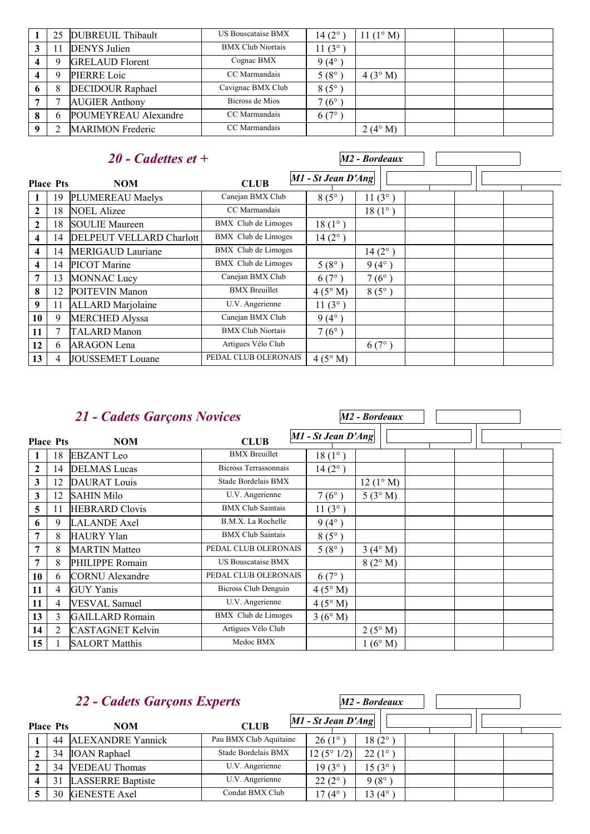| 25 | DUBREUIL Thibault       | <b>US Bouscataise BMX</b> | 14 $(2^{\circ})$ | 11 $(1^{\circ} M)$ |  |  |
|----|-------------------------|---------------------------|------------------|--------------------|--|--|
|    | <b>DENYS</b> Julien     | <b>BMX Club Niortais</b>  | $11(3^{\circ})$  |                    |  |  |
| q  | <b>GRELAUD Florent</b>  | Cognac BMX                | $9(4^\circ$      |                    |  |  |
|    | PIERRE Loic             | CC Marmandais             | 5 $(8^{\circ}$   | 4(3°M)             |  |  |
| 8  | <b>DECIDOUR Raphael</b> | Cavignac BMX Club         | $8(5^\circ$      |                    |  |  |
|    | <b>AUGIER Anthony</b>   | Bicross de Mios           | $7(6^\circ$      |                    |  |  |
| 6  | POUMEYREAU Alexandre    | CC Marmandais             | 6(7°             |                    |  |  |
|    | <b>MARIMON</b> Frederic | CC Marmandais             |                  | $2(4^{\circ} M)$   |  |  |

#### **Place** *20 - Cadettes et +* **Phono Phono Phono Phono Phono Phono Phono Phono Phono Phono Phono Phono Phono Phono Phono Phono Phono Phono Phono Phono Phono Phono Phono Phono Phono Phono Phono Phono** *M2 - Bordeaux* **NOM CLUB** 1 19 PLUMEREAU Maelys Canejan BMX Club 8 (5°) 11 (3°)<br>
2 18 NOEL Alizee CC Marmandais 18 (1°) **2** | 18 | NOEL Alizee  $\qquad \qquad$  CC Marmandais  $\qquad \qquad$  18 (1°) 2 18 SOULIE Maureen BMX Club de Limoges 18 (1°) **4** 14 DELPEUT VELLARD Charlott BMX Club de Limoges 14 (2°) **4** 14 MERIGAUD Lauriane BMX Club de Limoges 14 (2°) **4** 14 PICOT Marine BMX Club de Limoges 5 (8°) 9 (4°) **7** 13 MONNAC Lucy Canejan BMX Club 6 (7°) 7 (6°) **8** 12 POITEVIN Manon BMX Breuillet 4 (5° M) 8 (5°) **9** 11 ALLARD Marjolaine U.V. Angerienne 11 (3°) 10 9 MERCHED Alyssa Canejan BMX Club 9 (4°) **11** 7 TALARD Manon BMX Club Niortais 7 (6°) 12 6 ARAGON Lena Artigues Vélo Club 6 (7°)<br>
13 4 JOUSSEMET Louane PEDAL CLUB OLERONAIS 4 (5° M) **13** 4 JOUSSEMET Louane PEDAL CLUB OLERONAIS 4 (5° M)

|                  |                | 21 - Cadets Garçons Novices |                          |                      | M2 - Bordeaux     |  |  |  |
|------------------|----------------|-----------------------------|--------------------------|----------------------|-------------------|--|--|--|
| <b>Place Pts</b> |                | <b>NOM</b>                  | <b>CLUB</b>              | $M1$ - St Jean D'Ang |                   |  |  |  |
| 1                | 18             | <b>EBZANT</b> Leo           | <b>BMX</b> Breuillet     | $18(1^{\circ})$      |                   |  |  |  |
| $\overline{2}$   | 14             | <b>DELMAS</b> Lucas         | Bicross Terrassonnais    | $14(2^{\circ})$      |                   |  |  |  |
| 3                | 12             | <b>DAURAT</b> Louis         | Stade Bordelais BMX      |                      | $12(1^{\circ} M)$ |  |  |  |
| 3                | 12             | <b>SAHIN Milo</b>           | U.V. Angerienne          | $7(6^{\circ})$       | 5(3°M)            |  |  |  |
| 5                | 11             | <b>HEBRARD</b> Clovis       | <b>BMX Club Saintais</b> | $11(3^{\circ})$      |                   |  |  |  |
| 6                | 9              | <b>LALANDE</b> Axel         | B.M.X. La Rochelle       | $9(4^{\circ})$       |                   |  |  |  |
| 7                | 8              | <b>HAURY Ylan</b>           | <b>BMX Club Saintais</b> | $8(5^{\circ})$       |                   |  |  |  |
| 7                | 8              | <b>MARTIN</b> Matteo        | PEDAL CLUB OLERONAIS     | $5(8^{\circ})$       | 3(4°M)            |  |  |  |
| 7                | 8              | PHILIPPE Romain             | US Bouscataise BMX       |                      | 8(2° M)           |  |  |  |
| 10               | 6              | <b>CORNU</b> Alexandre      | PEDAL CLUB OLERONAIS     | $6(7^{\circ})$       |                   |  |  |  |
| 11               | 4              | <b>GUY Yanis</b>            | Bicross Club Denguin     | 4(5° M)              |                   |  |  |  |
| 11               | 4              | <b>VESVAL</b> Samuel        | U.V. Angerienne          | 4(5°M)               |                   |  |  |  |
| 13               | 3              | <b>GAILLARD</b> Romain      | BMX Club de Limoges      | 3(6°M)               |                   |  |  |  |
| 14               | $\overline{2}$ | <b>CASTAGNET Kelvin</b>     | Artigues Vélo Club       |                      | 2(5° M)           |  |  |  |
| 15               |                | <b>SALORT Matthis</b>       | Medoc BMX                |                      | 1(6°M)            |  |  |  |

 $\Gamma$ 

| <b>22 - Cadets Garçons Experts</b> |                  |                          |                        |                      | M2 - Bordeaux   |  |
|------------------------------------|------------------|--------------------------|------------------------|----------------------|-----------------|--|
|                                    | <b>Place Pts</b> | <b>NOM</b>               | <b>CLUB</b>            | $MI - St Jean D'Ang$ |                 |  |
|                                    | 44               | <b>ALEXANDRE Yannick</b> | Pau BMX Club Aquitaine | $26(1^{\circ})$      | $18(2^{\circ})$ |  |
| ∍                                  | 34               | <b>IOAN</b> Raphael      | Stade Bordelais BMX    | 12(5°1/2)            | $22(1^{\circ})$ |  |
|                                    | 34               | <b>VEDEAU</b> Thomas     | U.V. Angerienne        | $19(3^{\circ}$       | $15(3^{\circ})$ |  |
|                                    | 31               | <b>LASSERRE</b> Baptiste | U.V. Angerienne        | $22(2^{\circ})$      | $9(8^\circ)$    |  |
|                                    | 30               | <b>GENESTE Axel</b>      | Condat BMX Club        | l 7 (4°              | 13 (4°          |  |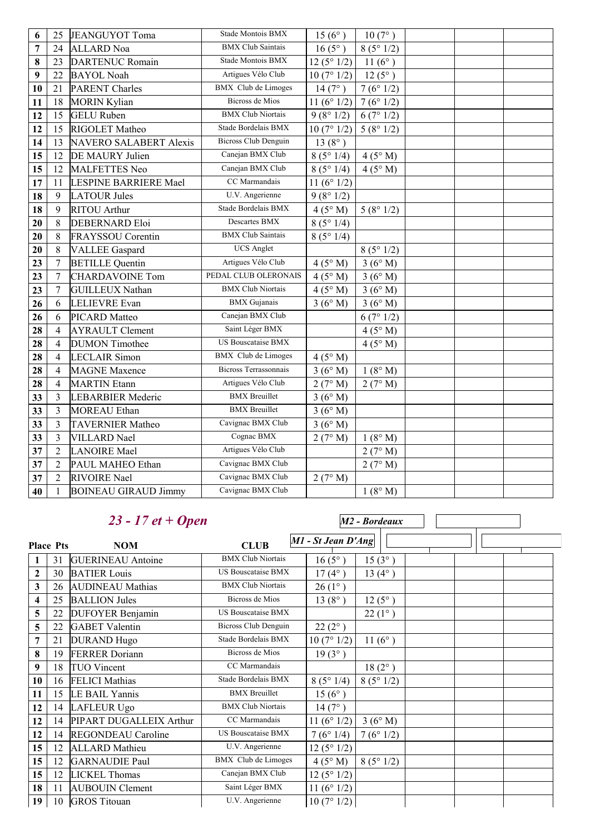| 6  | 25             | JEANGUYOT Toma                | <b>Stade Montois BMX</b>     | $15(6^{\circ})$ | $10(7^{\circ})$  |  |
|----|----------------|-------------------------------|------------------------------|-----------------|------------------|--|
| 7  | 24             | <b>ALLARD</b> Noa             | <b>BMX</b> Club Saintais     | $16(5^{\circ})$ | 8(5°1/2)         |  |
| 8  | 23             | <b>DARTENUC Romain</b>        | Stade Montois BMX            | 12(5°1/2)       | 11 $(6^{\circ})$ |  |
| 9  | 22             | <b>BAYOL Noah</b>             | Artigues Vélo Club           | 10(7°1/2)       | $12(5^{\circ})$  |  |
| 10 | 21             | <b>PARENT Charles</b>         | <b>BMX</b> Club de Limoges   | 14(7°)          | 7(6°1/2)         |  |
| 11 | 18             | <b>MORIN Kylian</b>           | <b>Bicross</b> de Mios       | 11 $(6° 1/2)$   | 7(6°1/2)         |  |
| 12 | 15             | <b>GELU</b> Ruben             | <b>BMX Club Niortais</b>     | 9(8°1/2)        | 6(7°1/2)         |  |
| 12 | 15             | RIGOLET Matheo                | Stade Bordelais BMX          | 10(7°1/2)       | 5(8°1/2)         |  |
| 14 | 13             | <b>NAVERO SALABERT Alexis</b> | <b>Bicross Club Denguin</b>  | $13(8^{\circ})$ |                  |  |
| 15 | 12             | DE MAURY Julien               | Canejan BMX Club             | 8(5°1/4)        | 4(5° M)          |  |
| 15 | 12             | <b>MALFETTES Neo</b>          | Canejan BMX Club             | 8(5°1/4)        | 4(5° M)          |  |
| 17 | 11             | LESPINE BARRIERE Mael         | CC Marmandais                | 11 $(6° 1/2)$   |                  |  |
| 18 | 9              | <b>LATOUR Jules</b>           | U.V. Angerienne              | 9(8°1/2)        |                  |  |
| 18 | 9              | <b>RITOU</b> Arthur           | Stade Bordelais BMX          | 4(5° M)         | 5(8°1/2)         |  |
| 20 | 8              | <b>DEBERNARD Eloi</b>         | <b>Descartes BMX</b>         | 8(5°1/4)        |                  |  |
| 20 | 8              | FRAYSSOU Corentin             | <b>BMX Club Saintais</b>     | 8(5°1/4)        |                  |  |
| 20 | 8              | <b>VALLEE</b> Gaspard         | <b>UCS</b> Anglet            |                 | 8(5°1/2)         |  |
| 23 | $\overline{7}$ | <b>BETILLE Quentin</b>        | Artigues Vélo Club           | 4(5° M)         | 3(6°M)           |  |
| 23 | $\overline{7}$ | <b>CHARDAVOINE Tom</b>        | PEDAL CLUB OLERONAIS         | 4(5° M)         | 3(6°M)           |  |
| 23 | $\overline{7}$ | <b>GUILLEUX Nathan</b>        | <b>BMX Club Niortais</b>     | 4(5° M)         | 3(6°M)           |  |
| 26 | 6              | <b>LELIEVRE</b> Evan          | <b>BMX</b> Gujanais          | 3(6°M)          | 3(6°M)           |  |
| 26 | 6              | PICARD Matteo                 | Canejan BMX Club             |                 | 6(7°1/2)         |  |
| 28 | $\overline{4}$ | <b>AYRAULT Clement</b>        | Saint Léger BMX              |                 | 4(5° M)          |  |
| 28 | $\overline{4}$ | <b>DUMON</b> Timothee         | <b>US Bouscataise BMX</b>    |                 | 4(5° M)          |  |
| 28 | $\overline{4}$ | <b>LECLAIR Simon</b>          | <b>BMX</b> Club de Limoges   | 4(5° M)         |                  |  |
| 28 | $\overline{4}$ | <b>MAGNE</b> Maxence          | <b>Bicross Terrassonnais</b> | 3(6°M)          | 1(8° M)          |  |
| 28 | $\overline{4}$ | <b>MARTIN</b> Etann           | Artigues Vélo Club           | 2(7° M)         | 2(7° M)          |  |
| 33 | $\overline{3}$ | <b>LEBARBIER Mederic</b>      | <b>BMX</b> Breuillet         | 3(6°M)          |                  |  |
| 33 | 3              | <b>MOREAU</b> Ethan           | <b>BMX</b> Breuillet         | 3(6°M)          |                  |  |
| 33 | $\overline{3}$ | <b>TAVERNIER Matheo</b>       | Cavignac BMX Club            | 3(6°M)          |                  |  |
| 33 | $\mathfrak{Z}$ | <b>VILLARD</b> Nael           | Cognac BMX                   | 2(7° M)         | 1(8° M)          |  |
| 37 | $\overline{2}$ | <b>LANOIRE</b> Mael           | Artigues Vélo Club           |                 | 2(7° M)          |  |
| 37 | $\overline{2}$ | PAUL MAHEO Ethan              | Cavignac BMX Club            |                 | 2(7° M)          |  |
| 37 | $\overline{2}$ | <b>RIVOIRE</b> Nael           | Cavignac BMX Club            | 2(7° M)         |                  |  |
| 40 | $\mathbf{1}$   | <b>BOINEAU GIRAUD Jimmy</b>   | Cavignac BMX Club            |                 | 1(8°M)           |  |

## *23 - 17 et + Open*

**Place Physical Pts Property Physical Pts** *M1 - St Jean D'Ang M2 - Bordeaux* **NOM CLUB** 1 31 GUERINEAU Antoine BMX Club Niortais 16 (5°) 15 (3°) 30 BATIER Louis US Bouscataise BMX 17 (4°) 13 (4°) 26 AUDINEAU Mathias BMX Club Niortais 26 (1°) 25 BALLION Jules Bicross de Mios 13 (8°) 12 (5°) 22 DUFOYER Benjamin US Bouscataise BMX 22 (1°) 22 GABET Valentin Bicross Club Denguin 22 (2°) 21 DURAND Hugo Stade Bordelais BMX 10 (7° 1/2) 11 (6°) 19 FERRER Doriann Bicross de Mios 19 (3°) 18 TUO Vincent CC Marmandais 18 (2°) 16 FELICI Mathias Stade Bordelais BMX 8 (5° 1/4) 8 (5° 1/2) | 15 | LE BAIL Yannis BMX Breuillet  $15 (6^\circ)$  14 LAFLEUR Ugo BMX Club Niortais 14 (7°) 14 PIPART DUGALLEIX Arthur CC Marmandais  $11 (6° 1/2) 3 (6° M)$ 12 14 REGONDEAU Caroline US Bouscataise BMX 7 (6° 1/4) 7 (6° 1/2) 15 12 ALLARD Mathieu U.V. Angerienne 12 (5° 1/2) 12 GARNAUDIE Paul BMX Club de Limoges  $4(5° M) 8(5° 1/2)$  12 LICKEL Thomas Canejan BMX Club 12 (5° 1/2) 11 AUBOUIN Clement Saint Léger BMX 11 (6° 1/2) 10 GROS Titouan U.V. Angerienne 10 (7° 1/2)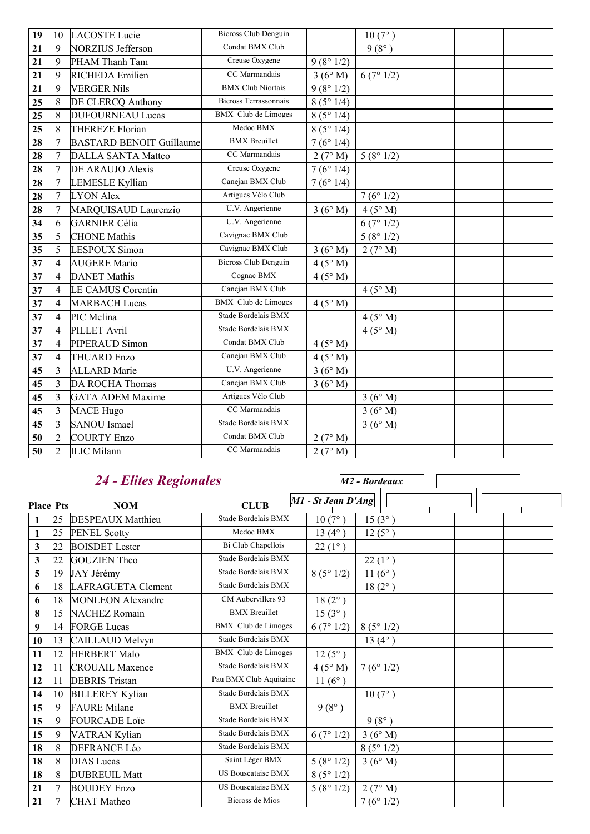| 19 | 10             | <b>LACOSTE</b> Lucie            | <b>Bicross Club Denguin</b>  |          | $10(7^{\circ})$ |  |
|----|----------------|---------------------------------|------------------------------|----------|-----------------|--|
| 21 | 9              | <b>NORZIUS Jefferson</b>        | Condat BMX Club              |          | $9(8^{\circ})$  |  |
| 21 | 9              | PHAM Thanh Tam                  | Creuse Oxygene               | 9(8°1/2) |                 |  |
| 21 | 9              | RICHEDA Emilien                 | CC Marmandais                | 3(6°M)   | 6(7°1/2)        |  |
| 21 | 9              | <b>VERGER Nils</b>              | <b>BMX Club Niortais</b>     | 9(8°1/2) |                 |  |
| 25 | 8              | DE CLERCQ Anthony               | <b>Bicross Terrassonnais</b> | 8(5°1/4) |                 |  |
| 25 | 8              | <b>DUFOURNEAU Lucas</b>         | BMX Club de Limoges          | 8(5°1/4) |                 |  |
| 25 | 8              | <b>THEREZE Florian</b>          | Medoc BMX                    | 8(5°1/4) |                 |  |
| 28 | $\overline{7}$ | <b>BASTARD BENOIT Guillaume</b> | <b>BMX</b> Breuillet         | 7(6°1/4) |                 |  |
| 28 | $\overline{7}$ | <b>DALLA SANTA Matteo</b>       | CC Marmandais                | 2(7° M)  | 5(8°1/2)        |  |
| 28 | $\overline{7}$ | DE ARAUJO Alexis                | Creuse Oxygene               | 7(6°1/4) |                 |  |
| 28 | $\overline{7}$ | <b>LEMESLE Kyllian</b>          | Canejan BMX Club             | 7(6°1/4) |                 |  |
| 28 | $\overline{7}$ | <b>LYON Alex</b>                | Artigues Vélo Club           |          | 7(6°1/2)        |  |
| 28 | $\overline{7}$ | MARQUISAUD Laurenzio            | U.V. Angerienne              | 3(6°M)   | 4(5° M)         |  |
| 34 | 6              | <b>GARNIER Célia</b>            | U.V. Angerienne              |          | 6(7°1/2)        |  |
| 35 | 5              | <b>CHONE</b> Mathis             | Cavignac BMX Club            |          | 5(8°1/2)        |  |
| 35 | 5              | LESPOUX Simon                   | Cavignac BMX Club            | 3(6°M)   | 2(7° M)         |  |
| 37 | $\overline{4}$ | <b>AUGERE</b> Mario             | <b>Bicross Club Denguin</b>  | 4(5° M)  |                 |  |
| 37 | $\overline{4}$ | <b>DANET</b> Mathis             | Cognac BMX                   | 4(5° M)  |                 |  |
| 37 | $\overline{4}$ | <b>LE CAMUS Corentin</b>        | Canejan BMX Club             |          | 4(5° M)         |  |
| 37 | $\overline{4}$ | <b>MARBACH</b> Lucas            | <b>BMX</b> Club de Limoges   | 4(5° M)  |                 |  |
| 37 | $\overline{4}$ | PIC Melina                      | Stade Bordelais BMX          |          | 4(5° M)         |  |
| 37 | $\overline{4}$ | PILLET Avril                    | Stade Bordelais BMX          |          | 4(5° M)         |  |
| 37 | $\overline{4}$ | PIPERAUD Simon                  | Condat BMX Club              | 4(5° M)  |                 |  |
| 37 | 4              | <b>THUARD Enzo</b>              | Canejan BMX Club             | 4(5° M)  |                 |  |
| 45 | 3              | <b>ALLARD</b> Marie             | U.V. Angerienne              | 3(6°M)   |                 |  |
| 45 | 3              | <b>DA ROCHA Thomas</b>          | Canejan BMX Club             | 3(6°M)   |                 |  |
| 45 | 3              | <b>GATA ADEM Maxime</b>         | Artigues Vélo Club           |          | 3(6° M)         |  |
| 45 | 3              | <b>MACE Hugo</b>                | CC Marmandais                |          | 3(6°M)          |  |
| 45 | $\overline{3}$ | <b>SANOU</b> Ismael             | Stade Bordelais BMX          |          | 3(6° M)         |  |
| 50 | $\overline{2}$ | <b>COURTY Enzo</b>              | Condat BMX Club              | 2(7° M)  |                 |  |
| 50 | $\overline{2}$ | <b>ILIC Milann</b>              | CC Marmandais                | 2(7° M)  |                 |  |

### *24 - Elites Regionales*

**Place Physical Property Allied CLUB** *PHI - St Jean D'Ang M2 - Bordeaux* **NOM CLUB** 1 25 DESPEAUX Matthieu Stade Bordelais BMX 10 (7°) 15 (3°)<br>
1 25 PENEL Scottv Medoc BMX 13 (4°) 12 (5°) 25 PENEL Scotty Medoc BMX 13 (4°) 12 (5°) 22 BOISDET Lester Bi Club Chapellois 22(1°) 22 GOUZIEN Theo Stade Bordelais BMX 22 (1°) 19 JAY Jérémy Stade Bordelais BMX 8 ( $5^{\circ}$  1/2) 11 ( $6^{\circ}$ ) 18 LAFRAGUETA Clement Stade Bordelais BMX 18 (2°) 18 MONLEON Alexandre CM Aubervillers 93 18 (2°) 15 NACHEZ Romain BMX Breuillet 15 (3°) 14 FORGE Lucas BMX Club de Limoges  $6(7°1/2) 8(5°1/2)$ 10 13 CAILLAUD Melvyn Stade Bordelais BMX 13 (4°) 11 12 HERBERT Malo BMX Club de Limoges 12 (5°) 11 CROUAIL Maxence Stade Bordelais BMX 4 (5° M) 7 (6° 1/2) 11 DEBRIS Tristan Pau BMX Club Aquitaine 11 (6°) 10 BILLEREY Kylian Stade Bordelais BMX 10 (7°) 9 FAURE Milane BMX Breuillet 9 ( $8^\circ$ ) 9 FOURCADE Loïc Stade Bordelais BMX 9 (8°) 9 VATRAN Kylian Stade Bordelais BMX 6 (7° 1/2) 3 (6° M) 18 8 DEFRANCE Léo Stade Bordelais BMX 8 (5° 1/2) 8 DIAS Lucas Saint Léger BMX  $5 (8^{\circ} 1/2)$  3 (6° M) 8 DUBREUIL Matt US Bouscataise BMX 8 (5° 1/2) 7 BOUDEY Enzo US Bouscataise BMX  $5 (8^{\circ} 1/2)$  2 (7° M)  $\begin{array}{|c|c|c|c|c|} \hline \end{array}$  7 (6° 1/2) Bicross de Mios  $\begin{array}{|c|c|c|c|c|} \hline \end{array}$  7 (6° 1/2)